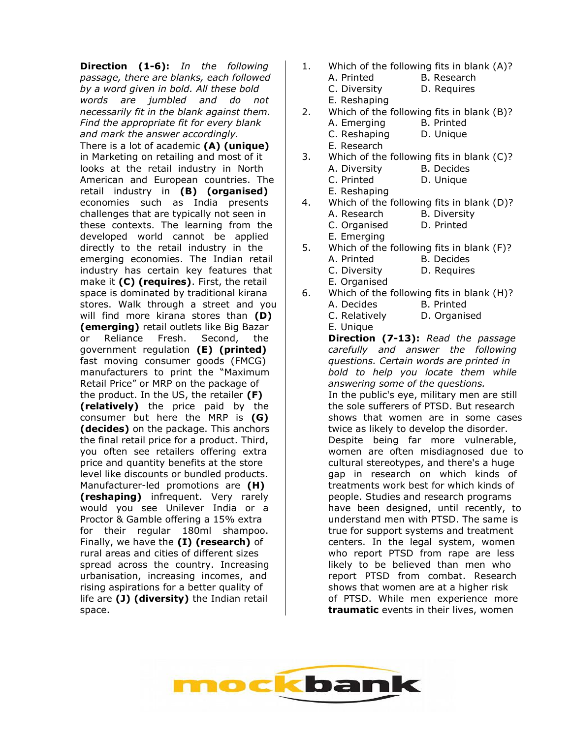**Direction (1-6):** *In the following passage, there are blanks, each followed by a word given in bold. All these bold words are jumbled and do not necessarily fit in the blank against them. Find the appropriate fit for every blank and mark the answer accordingly.* There is a lot of academic **(A) (unique)** in Marketing on retailing and most of it looks at the retail industry in North American and European countries. The retail industry in **(B) (organised)** economies such as India presents challenges that are typically not seen in these contexts. The learning from the developed world cannot be applied directly to the retail industry in the emerging economies. The Indian retail industry has certain key features that make it **(C) (requires)**. First, the retail space is dominated by traditional kirana stores. Walk through a street and you will find more kirana stores than **(D) (emerging)** retail outlets like Big Bazar or Reliance Fresh. Second, the government regulation **(E) (printed)** fast moving consumer goods (FMCG) manufacturers to print the "Maximum Retail Price" or MRP on the package of the product. In the US, the retailer **(F) (relatively)** the price paid by the consumer but here the MRP is **(G) (decides)** on the package. This anchors the final retail price for a product. Third, you often see retailers offering extra price and quantity benefits at the store level like discounts or bundled products. Manufacturer-led promotions are **(H) (reshaping)** infrequent. Very rarely would you see Unilever India or a Proctor & Gamble offering a 15% extra for their regular 180ml shampoo. Finally, we have the **(I) (research)** of rural areas and cities of different sizes spread across the country. Increasing urbanisation, increasing incomes, and rising aspirations for a better quality of life are **(J) (diversity)** the Indian retail space.

- 1. Which of the following fits in blank (A)? A. Printed B. Research C. Diversity D. Requires E. Reshaping
- 2. Which of the following fits in blank (B)? A. Emerging B. Printed C. Reshaping D. Unique
	- E. Research
- 3. Which of the following fits in blank (C)? A. Diversity B. Decides C. Printed D. Unique E. Reshaping
- 4. Which of the following fits in blank (D)? A. Research B. Diversity C. Organised D. Printed E. Emerging
- 5. Which of the following fits in blank (F)? A. Printed B. Decides C. Diversity D. Requires E. Organised
- 6. Which of the following fits in blank (H)? A. Decides B. Printed
	- C. Relatively D. Organised E. Unique

**Direction (7-13):** *Read the passage carefully and answer the following questions. Certain words are printed in bold to help you locate them while answering some of the questions.* In the public's eye, military men are still the sole sufferers of PTSD. But research shows that women are in some cases twice as likely to develop the disorder. Despite being far more vulnerable, women are often misdiagnosed due to cultural stereotypes, and there's a huge gap in research on which kinds of treatments work best for which kinds of people. Studies and research programs have been designed, until recently, to understand men with PTSD. The same is true for support systems and treatment centers. In the legal system, women who report PTSD from rape are less likely to be believed than men who report PTSD from combat. Research shows that women are at a higher risk of PTSD. While men experience more **traumatic** events in their lives, women

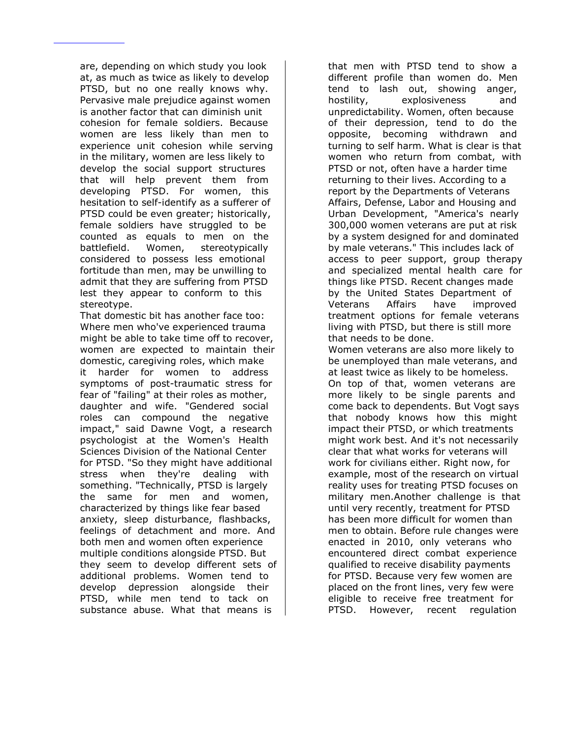are, depending on which study you look at, as much as twice as likely to develop PTSD, but no one really knows why. Pervasive male prejudice against women is another factor that can diminish unit cohesion for female soldiers. Because women are less likely than men to experience unit cohesion while serving in the military, women are less likely to develop the social support structures that will help prevent them from developing PTSD. For women, this hesitation to self-identify as a sufferer of PTSD could be even greater; historically, female soldiers have struggled to be counted as equals to men on the battlefield. Women, stereotypically considered to possess less emotional fortitude than men, may be unwilling to admit that they are suffering from PTSD lest they appear to conform to this stereotype.

That domestic bit has another face too: Where men who've experienced trauma might be able to take time off to recover, women are expected to maintain their domestic, caregiving roles, which make it harder for women to address symptoms of post-traumatic stress for fear of "failing" at their roles as mother, daughter and wife. "Gendered social roles can compound the negative impact," said Dawne Vogt, a research psychologist at the Women's Health Sciences Division of the National Center for PTSD. "So they might have additional stress when they're dealing with something. "Technically, PTSD is largely the same for men and women, characterized by things like fear based anxiety, sleep disturbance, flashbacks, feelings of detachment and more. And both men and women often experience multiple conditions alongside PTSD. But they seem to develop different sets of additional problems. Women tend to develop depression alongside their PTSD, while men tend to tack on substance abuse. What that means is

that men with PTSD tend to show a different profile than women do. Men tend to lash out, showing anger, hostility, explosiveness and unpredictability. Women, often because of their depression, tend to do the opposite, becoming withdrawn and turning to self harm. What is clear is that women who return from combat, with PTSD or not, often have a harder time returning to their lives. According to a report by the Departments of Veterans Affairs, Defense, Labor and Housing and Urban Development, "America's nearly 300,000 women veterans are put at risk by a system designed for and dominated by male veterans." This includes lack of access to peer support, group therapy and specialized mental health care for things like PTSD. Recent changes made by the United States Department of Veterans Affairs have improved treatment options for female veterans living with PTSD, but there is still more that needs to be done. Women veterans are also more likely to be unemployed than male veterans, and at least twice as likely to be homeless. On top of that, women veterans are more likely to be single parents and come back to dependents. But Vogt says that nobody knows how this might impact their PTSD, or which treatments might work best. And it's not necessarily clear that what works for veterans will work for civilians either. Right now, for example, most of the research on virtual reality uses for treating PTSD focuses on military men.Another challenge is that until very recently, treatment for PTSD has been more difficult for women than men to obtain. Before rule changes were enacted in 2010, only veterans who encountered direct combat experience qualified to receive disability payments for PTSD. Because very few women are placed on the front lines, very few were

eligible to receive free treatment for PTSD. However, recent regulation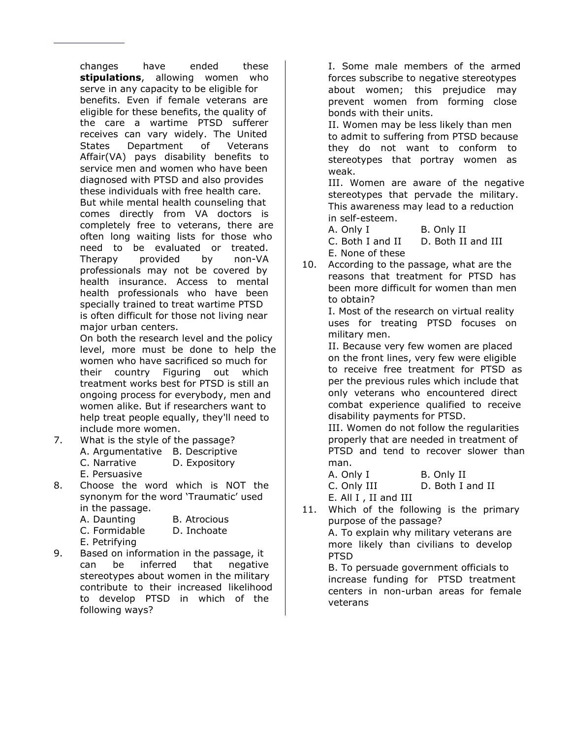changes have ended these **stipulations**, allowing women who serve in any capacity to be eligible for benefits. Even if female veterans are eligible for these benefits, the quality of the care a wartime PTSD sufferer receives can vary widely. The United States Department of Veterans Affair(VA) pays disability benefits to service men and women who have been diagnosed with PTSD and also provides these individuals with free health care. But while mental health counseling that comes directly from VA doctors is completely free to veterans, there are often long waiting lists for those who need to be evaluated or treated. Therapy provided by non-VA professionals may not be covered by health insurance. Access to mental health professionals who have been specially trained to treat wartime PTSD is often difficult for those not living near major urban centers.

On both the research level and the policy level, more must be done to help the women who have sacrificed so much for their country Figuring out which treatment works best for PTSD is still an ongoing process for everybody, men and women alike. But if researchers want to help treat people equally, they'll need to include more women.

- 7. What is the style of the passage? A. Argumentative B. Descriptive C. Narrative D. Expository
	- E. Persuasive
- 8. Choose the word which is NOT the synonym for the word 'Traumatic' used in the passage.
	- A. Daunting B. Atrocious
	- C. Formidable D. Inchoate
	- E. Petrifying
- 9. Based on information in the passage, it can be inferred that negative stereotypes about women in the military contribute to their increased likelihood to develop PTSD in which of the following ways?

I. Some male members of the armed forces subscribe to negative stereotypes about women; this prejudice may prevent women from forming close bonds with their units. II. Women may be less likely than men to admit to suffering from PTSD because they do not want to conform to stereotypes that portray women as

weak. III. Women are aware of the negative stereotypes that pervade the military. This awareness may lead to a reduction in self-esteem.

A. Only I B. Only II C. Both I and II D. Both II and III E. None of these

10. According to the passage, what are the reasons that treatment for PTSD has been more difficult for women than men to obtain?

I. Most of the research on virtual reality uses for treating PTSD focuses on military men.

II. Because very few women are placed on the front lines, very few were eligible to receive free treatment for PTSD as per the previous rules which include that only veterans who encountered direct combat experience qualified to receive disability payments for PTSD.

III. Women do not follow the regularities properly that are needed in treatment of PTSD and tend to recover slower than man.

A. Only I B. Only II C. Only III D. Both I and II E. All I , II and III

11. Which of the following is the primary purpose of the passage?

A. To explain why military veterans are more likely than civilians to develop PTSD

B. To persuade government officials to increase funding for PTSD treatment centers in non-urban areas for female veterans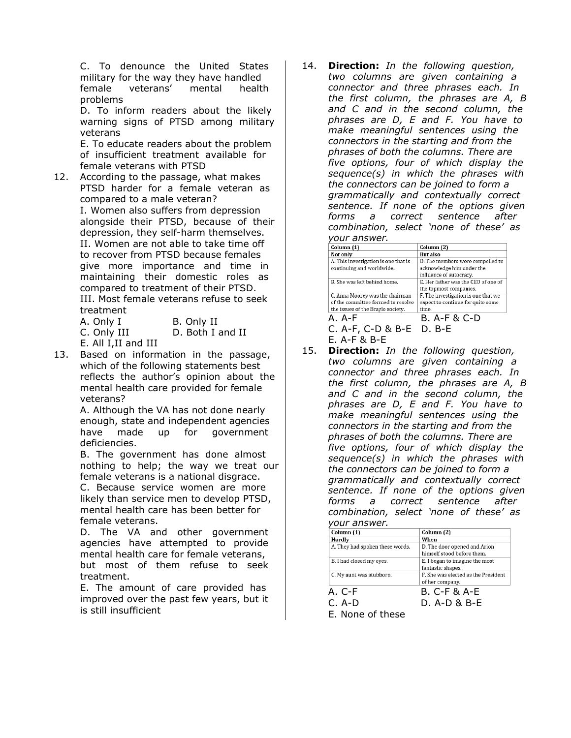C. To denounce the United States military for the way they have handled female veterans' mental health problems

D. To inform readers about the likely warning signs of PTSD among military veterans

E. To educate readers about the problem of insufficient treatment available for female veterans with PTSD

12. According to the passage, what makes PTSD harder for a female veteran as compared to a male veteran? I. Women also suffers from depression alongside their PTSD, because of their depression, they self-harm themselves. II. Women are not able to take time off to recover from PTSD because females give more importance and time in maintaining their domestic roles as compared to treatment of their PTSD. III. Most female veterans refuse to seek treatment

| A. Only I            | B. Only II       |
|----------------------|------------------|
| C. Only III          | D. Both I and II |
| E. All I, II and III |                  |

13. Based on information in the passage, which of the following statements best reflects the author's opinion about the mental health care provided for female veterans?

A. Although the VA has not done nearly enough, state and independent agencies have made up for government deficiencies.

B. The government has done almost nothing to help; the way we treat our female veterans is a national disgrace.

C. Because service women are more likely than service men to develop PTSD, mental health care has been better for female veterans.

D. The VA and other government agencies have attempted to provide mental health care for female veterans, but most of them refuse to seek treatment.

E. The amount of care provided has improved over the past few years, but it is still insufficient

14. **Direction:** *In the following question, two columns are given containing a connector and three phrases each. In the first column, the phrases are A, B and C and in the second column, the phrases are D, E and F. You have to make meaningful sentences using the connectors in the starting and from the phrases of both the columns. There are five options, four of which display the sequence(s) in which the phrases with the connectors can be joined to form a grammatically and contextually correct sentence. If none of the options given forms a correct sentence after combination, select 'none of these' as* 

| Column (1)                                                                                                 | Column (2)                                                                        |
|------------------------------------------------------------------------------------------------------------|-----------------------------------------------------------------------------------|
| Not only                                                                                                   | <b>But also</b>                                                                   |
| A. This investigation is one that is                                                                       | D. The members were compelled to                                                  |
| continuing and worldwide.                                                                                  | acknowledge him under the<br>influence of autocracy.                              |
| B. She was left behind home.                                                                               | E. Her father was the CEO of one of<br>the topmost companies.                     |
| C. Anna Moorey was the chairman<br>of the committee formed to resolve<br>the issues of the Braylo society. | F. The investigation is one that we<br>expect to continue for quite some<br>time. |
| A.A-F                                                                                                      | B. A-F & C-D                                                                      |
| C. A-F, C-D & B-E                                                                                          | D. B-F                                                                            |
| $F.$ A-F & R-F                                                                                             |                                                                                   |

15. **Direction:** *In the following question, two columns are given containing a connector and three phrases each. In the first column, the phrases are A, B and C and in the second column, the phrases are D, E and F. You have to make meaningful sentences using the connectors in the starting and from the phrases of both the columns. There are five options, four of which display the sequence(s) in which the phrases with the connectors can be joined to form a grammatically and contextually correct sentence. If none of the options given forms a correct sentence after combination, select 'none of these' as your answer.*

| yuu answer.                     |                                     |
|---------------------------------|-------------------------------------|
| Column (1)                      | Column (2)                          |
| Hardly                          | When                                |
| A. They had spoken these words. | D. The door opened and Arion        |
|                                 | himself stood before them.          |
| B. I had closed my eyes.        | E. I began to imagine the most      |
|                                 | fantastic shapes.                   |
| C. My aunt was stubborn.        | F. She was elected as the President |
|                                 | of her company.                     |
| A. C-F                          | <b>B. C-F &amp; A-E</b>             |
| C. A-D                          | D. A-D & B-E                        |
|                                 |                                     |

E. None of these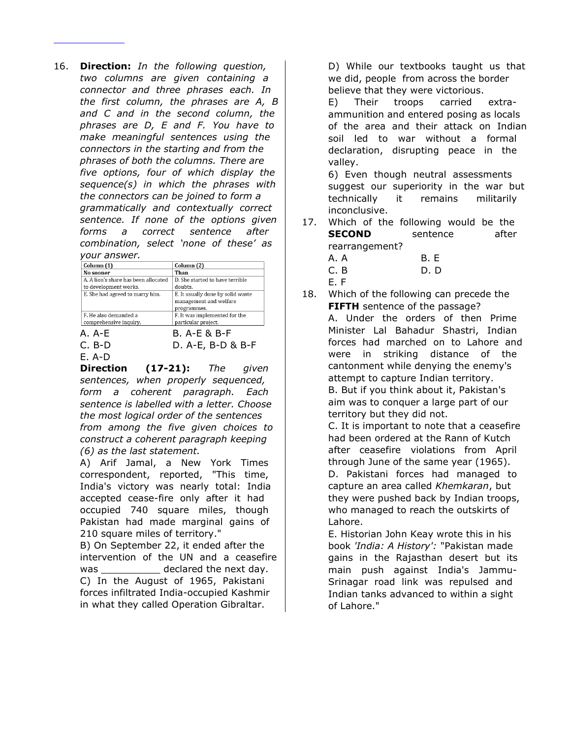16. **Direction:** *In the following question, two columns are given containing a connector and three phrases each. In the first column, the phrases are A, B and C and in the second column, the phrases are D, E and F. You have to make meaningful sentences using the connectors in the starting and from the phrases of both the columns. There are five options, four of which display the sequence(s) in which the phrases with the connectors can be joined to form a grammatically and contextually correct sentence. If none of the options given forms a correct sentence after combination, select 'none of these' as your answer.*

| <i>your answer.</i>                  |                                   |  |
|--------------------------------------|-----------------------------------|--|
| Column (1)                           | Column (2)                        |  |
| No sooner                            | Than                              |  |
| A. A lion's share has been allocated | D. She started to have terrible   |  |
| to development works.                | doubts.                           |  |
| E. She had agreed to marry him.      | E. It usually done by solid waste |  |
|                                      | management and welfare            |  |
|                                      | programmes.                       |  |
| F. He also demanded a                | F. It was implemented for the     |  |
| comprehensive inquiry.               | particular project.               |  |
| A.A-F                                | B. A-E & B-F                      |  |
| C. B-D                               | D. A-E, B-D & B-F                 |  |

E. A-D

**Direction (17-21):** *The given sentences, when properly sequenced, form a coherent paragraph. Each sentence is labelled with a letter. Choose the most logical order of the sentences from among the five given choices to construct a coherent paragraph keeping (6) as the last statement.*

A) Arif Jamal, a New York Times correspondent, reported, "This time, India's victory was nearly total: India accepted cease-fire only after it had occupied 740 square miles, though Pakistan had made marginal gains of 210 square miles of territory." B) On September 22, it ended after the intervention of the UN and a ceasefire was \_\_\_\_\_\_\_\_\_\_\_\_ declared the next day. C) In the August of 1965, Pakistani forces infiltrated India-occupied Kashmir in what they called Operation Gibraltar.

D) While our textbooks taught us that we did, people from across the border believe that they were victorious.

E) Their troops carried extraammunition and entered posing as locals of the area and their attack on Indian soil led to war without a formal declaration, disrupting peace in the valley.

6) Even though neutral assessments suggest our superiority in the war but technically it remains militarily inconclusive.

- 17. Which of the following would be the **SECOND** sentence after rearrangement?
	- A. A B. E C. B D. D
		-
	- E. F
- 18. Which of the following can precede the **FIFTH** sentence of the passage? A. Under the orders of then Prime Minister Lal Bahadur Shastri, Indian forces had marched on to Lahore and were in striking distance of the cantonment while denying the enemy's attempt to capture Indian territory. B. But if you think about it, Pakistan's aim was to conquer a large part of our territory but they did not.

C. It is important to note that a ceasefire had been ordered at the Rann of Kutch after ceasefire violations from April through June of the same year (1965). D. Pakistani forces had managed to capture an area called *Khemkaran*, but they were pushed back by Indian troops, who managed to reach the outskirts of Lahore.

E. Historian John Keay wrote this in his book *'India: A History':* "Pakistan made gains in the Rajasthan desert but its main push against India's Jammu-Srinagar road link was repulsed and Indian tanks advanced to within a sight of Lahore."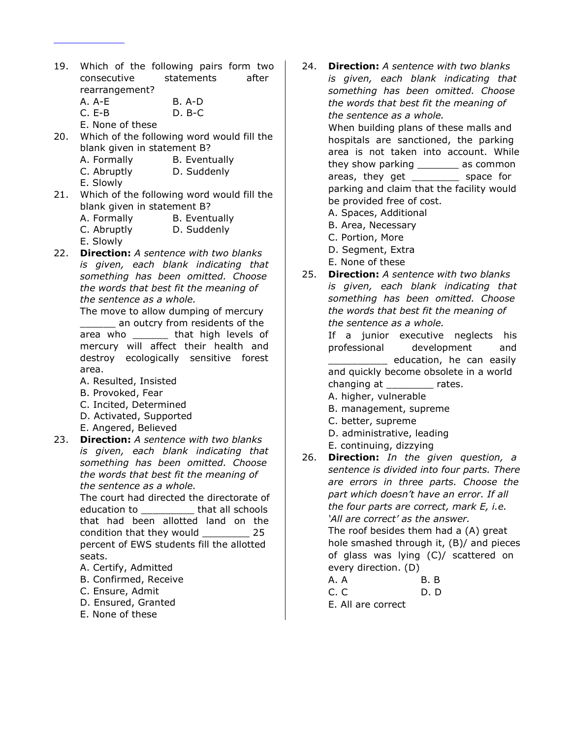- 19. Which of the following pairs form two consecutive statements after rearrangement? A. A-E B. A-D C. E-B D. B-C
	- E. None of these
- 20. Which of the following word would fill the blank given in statement B? A. Formally B. Eventually C. Abruptly D. Suddenly E. Slowly
- 21. Which of the following word would fill the blank given in statement B?

| A. Formally | <b>B.</b> Eventually |
|-------------|----------------------|
| C. Abruptly | D. Suddenly          |

- E. Slowly
- 22. **Direction:** *A sentence with two blanks is given, each blank indicating that something has been omitted. Choose the words that best fit the meaning of the sentence as a whole.*

The move to allow dumping of mercury

an outcry from residents of the area who \_\_\_\_\_\_ that high levels of mercury will affect their health and destroy ecologically sensitive forest area.

- A. Resulted, Insisted
- B. Provoked, Fear
- C. Incited, Determined
- D. Activated, Supported
- E. Angered, Believed
- 23. **Direction:** *A sentence with two blanks is given, each blank indicating that something has been omitted. Choose the words that best fit the meaning of the sentence as a whole.*

The court had directed the directorate of education to **that all schools** that had been allotted land on the condition that they would \_\_\_\_\_\_\_\_ 25 percent of EWS students fill the allotted seats.

- A. Certify, Admitted
- B. Confirmed, Receive
- C. Ensure, Admit
- D. Ensured, Granted
- E. None of these

24. **Direction:** *A sentence with two blanks is given, each blank indicating that something has been omitted. Choose the words that best fit the meaning of the sentence as a whole.* When building plans of these malls and hospitals are sanctioned, the parking area is not taken into account. While

they show parking \_\_\_\_\_\_\_ as common areas, they get \_\_\_\_\_\_\_\_\_ space for parking and claim that the facility would be provided free of cost.

- A. Spaces, Additional
- B. Area, Necessary
- C. Portion, More
- D. Segment, Extra
- E. None of these
- 25. **Direction:** *A sentence with two blanks is given, each blank indicating that something has been omitted. Choose the words that best fit the meaning of the sentence as a whole.*

If a junior executive neglects his professional development and \_\_\_\_\_\_\_\_\_\_ education, he can easily and quickly become obsolete in a world changing at \_\_\_\_\_\_\_\_\_ rates.

- A. higher, vulnerable
- B. management, supreme
- C. better, supreme
- D. administrative, leading
- E. continuing, dizzying
- 26. **Direction:** *In the given question, a sentence is divided into four parts. There are errors in three parts. Choose the part which doesn't have an error. If all the four parts are correct, mark E, i.e. 'All are correct' as the answer.* The roof besides them had a (A) great hole smashed through it, (B)/ and pieces of glass was lying (C)/ scattered on every direction. (D)

| A. A |  | <b>B.</b> B |   |
|------|--|-------------|---|
| ∽    |  | -           | ∽ |

C. C D. D E. All are correct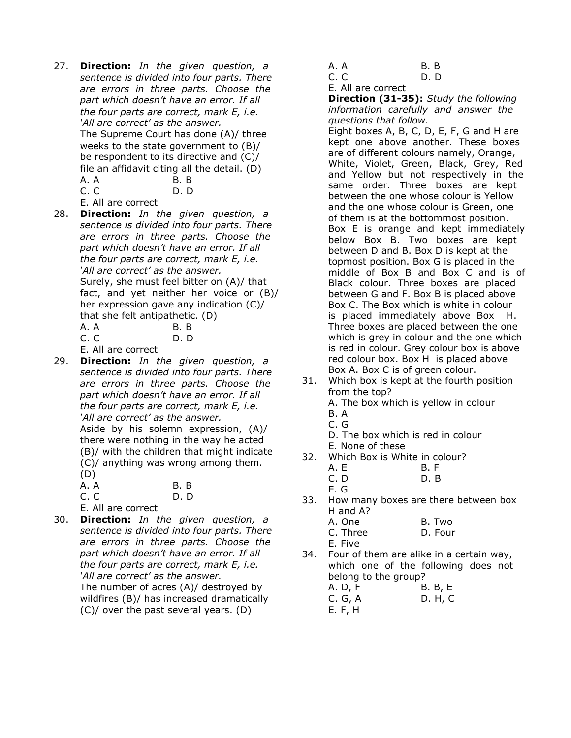27. **Direction:** *In the given question, a sentence is divided into four parts. There are errors in three parts. Choose the part which doesn't have an error. If all the four parts are correct, mark E, i.e. 'All are correct' as the answer.* The Supreme Court has done (A)/ three weeks to the state government to (B)/ be respondent to its directive and (C)/ file an affidavit citing all the detail. (D) A. A B. B C. C D. D

E. All are correct

28. **Direction:** *In the given question, a sentence is divided into four parts. There are errors in three parts. Choose the part which doesn't have an error. If all the four parts are correct, mark E, i.e. 'All are correct' as the answer.* Surely, she must feel bitter on (A)/ that fact, and yet neither her voice or (B)/ her expression gave any indication (C)/ that she felt antipathetic. (D)

| A. A | B.B |
|------|-----|
| C. C | D.D |

- E. All are correct
- 29. **Direction:** *In the given question, a sentence is divided into four parts. There are errors in three parts. Choose the part which doesn't have an error. If all the four parts are correct, mark E, i.e. 'All are correct' as the answer.*

Aside by his solemn expression, (A)/ there were nothing in the way he acted (B)/ with the children that might indicate (C)/ anything was wrong among them. (D)

| (レ)                |      |
|--------------------|------|
| A. A               | B. B |
| C.C                | D. D |
| E. All are correct |      |

30. **Direction:** *In the given question, a sentence is divided into four parts. There are errors in three parts. Choose the part which doesn't have an error. If all the four parts are correct, mark E, i.e. 'All are correct' as the answer.* The number of acres (A)/ destroyed by wildfires (B)/ has increased dramatically (C)/ over the past several years. (D)

- A. A B. B
- C. C D. D

E. All are correct

**Direction (31-35):** *Study the following information carefully and answer the questions that follow.*

Eight boxes A, B, C, D, E, F, G and H are kept one above another. These boxes are of different colours namely, Orange, White, Violet, Green, Black, Grey, Red and Yellow but not respectively in the same order. Three boxes are kept between the one whose colour is Yellow and the one whose colour is Green, one of them is at the bottommost position. Box E is orange and kept immediately below Box B. Two boxes are kept between D and B. Box D is kept at the topmost position. Box G is placed in the middle of Box B and Box C and is of Black colour. Three boxes are placed between G and F. Box B is placed above Box C. The Box which is white in colour is placed immediately above Box H. Three boxes are placed between the one which is grey in colour and the one which is red in colour. Grey colour box is above red colour box. Box H is placed above Box A. Box C is of green colour.

- 31. Which box is kept at the fourth position from the top? A. The box which is yellow in colour
	- B. A
	- C. G

D. The box which is red in colour E. None of these

- 32. Which Box is White in colour?
	- A. E B. F C. D D. B

E. G

33. How many boxes are there between box H and A?

| A. One   | B. Two  |
|----------|---------|
| C. Three | D. Four |
| E. Five  |         |

34. Four of them are alike in a certain way, which one of the following does not belong to the group?

| A. D, F | <b>B. B, E</b> |
|---------|----------------|
| C. G, A | D. H, C        |
| E. F. H |                |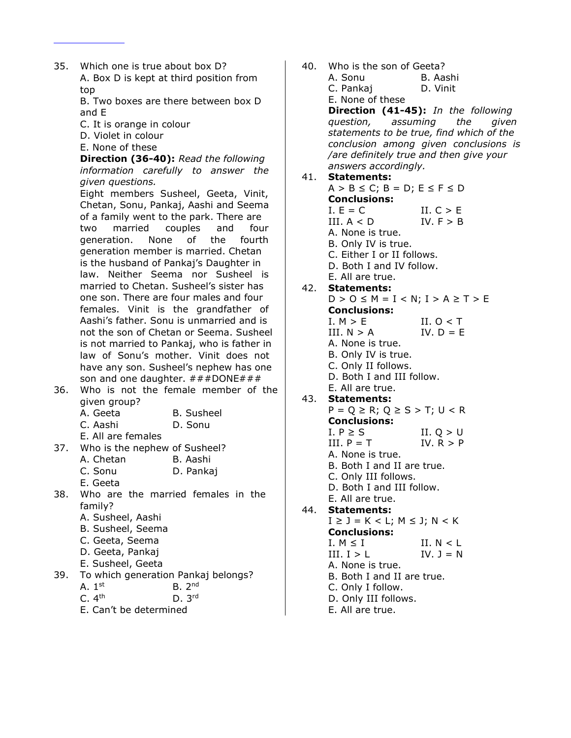35. Which one is true about box D? A. Box D is kept at third position from top B. Two boxes are there between box D and E C. It is orange in colour D. Violet in colour E. None of these **Direction (36-40):** *Read the following information carefully to answer the given questions.* Eight members Susheel, Geeta, Vinit, Chetan, Sonu, Pankaj, Aashi and Seema of a family went to the park. There are two married couples and four generation. None of the fourth generation member is married. Chetan is the husband of Pankaj's Daughter in law. Neither Seema nor Susheel is married to Chetan. Susheel's sister has one son. There are four males and four females. Vinit is the grandfather of Aashi's father. Sonu is unmarried and is not the son of Chetan or Seema. Susheel is not married to Pankaj, who is father in law of Sonu's mother. Vinit does not have any son. Susheel's nephew has one son and one daughter.  $\# \# \#$ DONE $\# \# \#$ 36. Who is not the female member of the given group? A. Geeta B. Susheel C. Aashi D. Sonu E. All are females 37. Who is the nephew of Susheel? A. Chetan B. Aashi C. Sonu D. Pankaj E. Geeta 38. Who are the married females in the family? A. Susheel, Aashi B. Susheel, Seema C. Geeta, Seema D. Geeta, Pankaj E. Susheel, Geeta 39. To which generation Pankaj belongs? A.  $1<sup>st</sup>$  $B. 2<sup>nd</sup>$  $C. 4<sup>th</sup>$  $D. 3<sup>rd</sup>$ E. Can't be determined

| 40. | Who is the son of Geeta?                    |                                          |
|-----|---------------------------------------------|------------------------------------------|
|     | A. Sonu                                     | B. Aashi                                 |
|     | C. Pankaj                                   | D. Vinit                                 |
|     | E. None of these                            |                                          |
|     |                                             | Direction (41-45): In the following      |
|     |                                             | question, assuming the given             |
|     |                                             | statements to be true, find which of the |
|     |                                             | conclusion among given conclusions is    |
|     |                                             | /are definitely true and then give your  |
|     | answers accordingly.                        |                                          |
| 41. | <b>Statements:</b>                          |                                          |
|     | $A > B \le C$ ; $B = D$ ; $E \le F \le D$   |                                          |
|     | <b>Conclusions:</b>                         |                                          |
|     | $I. E = C$                                  | II. $C > E$                              |
|     | III. A < D                                  | IV. $F > B$                              |
|     | A. None is true.                            |                                          |
|     | B. Only IV is true.                         |                                          |
|     | C. Either I or II follows.                  |                                          |
|     | D. Both I and IV follow.                    |                                          |
|     | E. All are true.                            |                                          |
|     | 42. Statements:                             |                                          |
|     | $D > 0 \leq M = I < N$ ; $I > A \geq T > E$ |                                          |
|     | <b>Conclusions:</b>                         |                                          |
|     | I. M > E                                    | II. $0 < T$                              |
|     | III. $N > A$                                | IV. $D = E$                              |
|     | A. None is true.                            |                                          |
|     | B. Only IV is true.                         |                                          |
|     | C. Only II follows.                         |                                          |
|     | D. Both I and III follow.                   |                                          |
|     | E. All are true.                            |                                          |
| 43. | Statements:                                 |                                          |
|     | $P = Q \ge R$ ; $Q \ge S > T$ ; $U < R$     |                                          |
|     | <b>Conclusions:</b>                         |                                          |
|     | I. $P \geq S$                               | II. $Q > U$                              |
|     | III. $P = T$                                | IV. $R > P$                              |
|     | A. None is true.                            |                                          |
|     | B. Both I and II are true.                  |                                          |
|     | C. Only III follows.                        |                                          |
|     | D. Both I and III follow.                   |                                          |
|     | E. All are true.                            |                                          |
| 44. | <b>Statements:</b>                          |                                          |
|     | $I \geq J = K < L$ ; $M \leq J$ ; $N < K$   |                                          |
|     | <b>Conclusions:</b>                         |                                          |
|     | I. $M \leq I$                               | II. $N < L$                              |
|     | III. I > L                                  | IV. $J = N$                              |
|     | A. None is true.                            |                                          |
|     | B. Both I and II are true.                  |                                          |
|     |                                             |                                          |
|     | C. Only I follow.                           |                                          |
|     | D. Only III follows.                        |                                          |
|     | E. All are true.                            |                                          |
|     |                                             |                                          |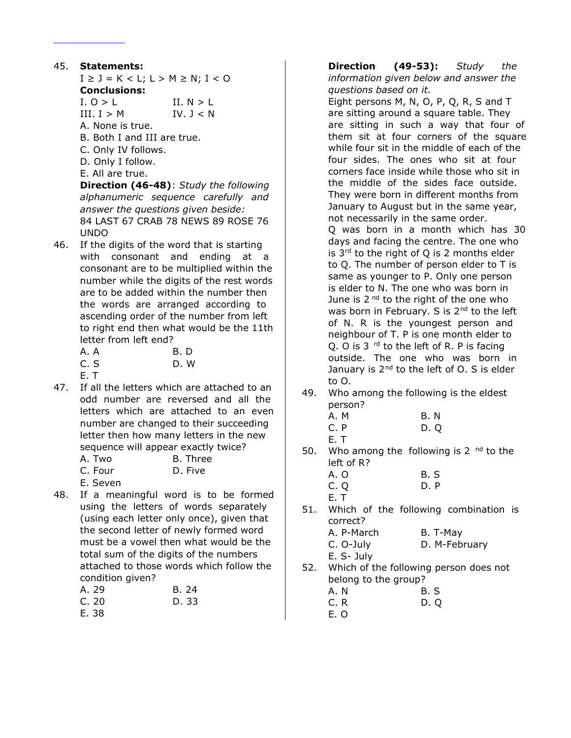# 45. **Statements:**

- $I \geq J = K < L$ ;  $L > M \geq N$ ;  $I < 0$
- **Conclusions:**
- $I. O > L$   $II. N > L$
- III.  $I > M$  IV.  $J < N$
- A. None is true.
- B. Both I and III are true.
- C. Only IV follows.
- D. Only I follow.
- E. All are true.

**Direction (46-48)**: *Study the following alphanumeric sequence carefully and answer the questions given beside:* 84 LAST 67 CRAB 78 NEWS 89 ROSE 76 UNDO

46. If the digits of the word that is starting with consonant and ending at a consonant are to be multiplied within the number while the digits of the rest words are to be added within the number then the words are arranged according to ascending order of the number from left to right end then what would be the 11th letter from left end?

| A. A | <b>B.</b> D |
|------|-------------|
| C. S | D.W         |
| E.T  |             |

47. If all the letters which are attached to an odd number are reversed and all the letters which are attached to an even number are changed to their succeeding letter then how many letters in the new sequence will appear exactly twice?

| A. Two           | B. Three |
|------------------|----------|
| C. Four          | D. Five  |
| — <u>—</u> — — — |          |

- E. Seven
- 48. If a meaningful word is to be formed using the letters of words separately (using each letter only once), given that the second letter of newly formed word must be a vowel then what would be the total sum of the digits of the numbers attached to those words which follow the condition given?

| A. 29 | B. 24 |
|-------|-------|
| C.20  | D. 33 |
| E. 38 |       |

**Direction (49-53):** *Study the information given below and answer the questions based on it.* Eight persons M, N, O, P, Q, R, S and T are sitting around a square table. They are sitting in such a way that four of them sit at four corners of the square while four sit in the middle of each of the four sides. The ones who sit at four corners face inside while those who sit in the middle of the sides face outside. They were born in different months from January to August but in the same year, not necessarily in the same order. Q was born in a month which has 30 days and facing the centre. The one who is  $3<sup>rd</sup>$  to the right of O is 2 months elder to Q. The number of person elder to T is same as younger to P. Only one person is elder to N. The one who was born in June is  $2<sup>nd</sup>$  to the right of the one who was born in February. S is  $2^{nd}$  to the left of N. R is the youngest person and neighbour of T. P is one month elder to Q. O is  $3<sup>rd</sup>$  to the left of R. P is facing outside. The one who was born in January is  $2^{nd}$  to the left of O. S is elder to O.

49. Who among the following is the eldest person?

| A. M | B. N |
|------|------|
| C. P | D.Q  |
| E. T |      |

50. Who among the following is  $2<sup>nd</sup>$  to the left of R?

| A. O | B. S |
|------|------|
| C. Q | D.P  |
| E.T  |      |

51. Which of the following combination is correct? A. D. March B. T. May

| A. P-March | в. н-мау      |
|------------|---------------|
| C. O-July  | D. M-February |
| E. S- July |               |

52. Which of the following person does not belong to the group?

| A.N | B. S |
|-----|------|
| C.R | D. O |
| E.O |      |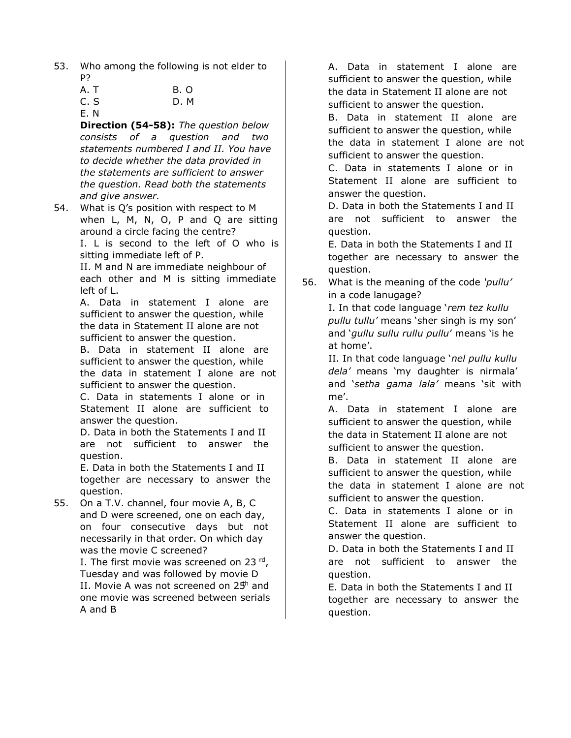53. Who among the following is not elder to P?

| A.T  | <b>B.O</b> |
|------|------------|
| C. S | D.M        |

E. N

**Direction (54-58):** *The question below consists of a question and two statements numbered I and II. You have to decide whether the data provided in the statements are sufficient to answer the question. Read both the statements and give answer.*

54. What is Q's position with respect to M when L, M, N, O, P and Q are sitting around a circle facing the centre? I. L is second to the left of O who is sitting immediate left of P.

II. M and N are immediate neighbour of each other and M is sitting immediate left of L.

A. Data in statement I alone are sufficient to answer the question, while the data in Statement II alone are not sufficient to answer the question.

B. Data in statement II alone are sufficient to answer the question, while the data in statement I alone are not sufficient to answer the question.

C. Data in statements I alone or in Statement II alone are sufficient to answer the question.

D. Data in both the Statements I and II are not sufficient to answer the question.

E. Data in both the Statements I and II together are necessary to answer the question.

55. On a T.V. channel, four movie A, B, C and D were screened, one on each day, on four consecutive days but not necessarily in that order. On which day was the movie C screened?

I. The first movie was screened on 23 rd, Tuesday and was followed by movie D II. Movie A was not screened on  $25<sup>h</sup>$  and one movie was screened between serials A and B

A. Data in statement I alone are sufficient to answer the question, while the data in Statement II alone are not sufficient to answer the question.

B. Data in statement II alone are sufficient to answer the question, while the data in statement I alone are not sufficient to answer the question.

C. Data in statements I alone or in Statement II alone are sufficient to answer the question.

D. Data in both the Statements I and II are not sufficient to answer the question.

E. Data in both the Statements I and II together are necessary to answer the question.

56. What is the meaning of the code *'pullu'* in a code lanugage?

I. In that code language '*rem tez kullu pullu tullu'* means 'sher singh is my son' and '*gullu sullu rullu pullu*' means 'is he at home'.

II. In that code language '*nel pullu kullu dela'* means 'my daughter is nirmala' and '*setha gama lala'* means 'sit with me'.

A. Data in statement I alone are sufficient to answer the question, while the data in Statement II alone are not sufficient to answer the question.

B. Data in statement II alone are sufficient to answer the question, while the data in statement I alone are not sufficient to answer the question.

C. Data in statements I alone or in Statement II alone are sufficient to answer the question.

D. Data in both the Statements I and II are not sufficient to answer the question.

E. Data in both the Statements I and II together are necessary to answer the question.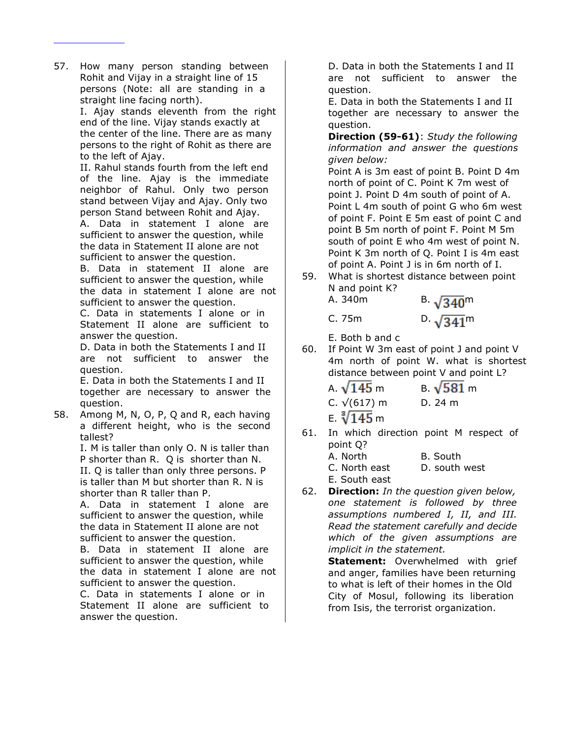57. How many person standing between Rohit and Vijay in a straight line of 15 persons (Note: all are standing in a straight line facing north).

I. Ajay stands eleventh from the right end of the line. Vijay stands exactly at the center of the line. There are as many persons to the right of Rohit as there are to the left of Ajay.

II. Rahul stands fourth from the left end of the line. Ajay is the immediate neighbor of Rahul. Only two person stand between Vijay and Ajay. Only two person Stand between Rohit and Ajay.

A. Data in statement I alone are sufficient to answer the question, while the data in Statement II alone are not sufficient to answer the question.

B. Data in statement II alone are sufficient to answer the question, while the data in statement I alone are not sufficient to answer the question.

C. Data in statements I alone or in Statement II alone are sufficient to answer the question.

D. Data in both the Statements I and II are not sufficient to answer the question.

E. Data in both the Statements I and II together are necessary to answer the question.

58. Among M, N, O, P, Q and R, each having a different height, who is the second tallest?

> I. M is taller than only O. N is taller than P shorter than R. Q is shorter than N. II. Q is taller than only three persons. P is taller than M but shorter than R. N is shorter than R taller than P.

A. Data in statement I alone are sufficient to answer the question, while the data in Statement II alone are not sufficient to answer the question.

B. Data in statement II alone are sufficient to answer the question, while the data in statement I alone are not sufficient to answer the question.

C. Data in statements I alone or in Statement II alone are sufficient to answer the question.

D. Data in both the Statements I and II are not sufficient to answer the question.

E. Data in both the Statements I and II together are necessary to answer the question.

**Direction (59-61)**: *Study the following information and answer the questions given below:*

Point A is 3m east of point B. Point D 4m north of point of C. Point K 7m west of point J. Point D 4m south of point of A. Point L 4m south of point G who 6m west of point F. Point E 5m east of point C and point B 5m north of point F. Point M 5m south of point E who 4m west of point N. Point K 3m north of Q. Point I is 4m east of point A. Point J is in 6m north of I.

59. What is shortest distance between point N and point K? A.  $340m$ 

| в. | $\sqrt{340}$ <sup>m</sup> |
|----|---------------------------|
|    | ∽                         |

C. 75m D.  $\sqrt{341}$ <sup>m</sup>

E. Both b and c

60. If Point W 3m east of point J and point V 4m north of point W. what is shortest distance between point V and point L?

| A. $\sqrt{145}$ m    | B. $\sqrt{581}$ m |
|----------------------|-------------------|
| C. $\sqrt{(617)}$ m  | D.24 m            |
| E. $\sqrt[3]{145}$ m |                   |

61. In which direction point M respect of point Q?

| A. North      | B. South      |
|---------------|---------------|
| C. North east | D. south west |
| E. South east |               |

62. **Direction:** *In the question given below, one statement is followed by three assumptions numbered I, II, and III. Read the statement carefully and decide which of the given assumptions are implicit in the statement.*

> **Statement:** Overwhelmed with grief and anger, families have been returning to what is left of their homes in the Old City of Mosul, following its liberation from Isis, the terrorist organization.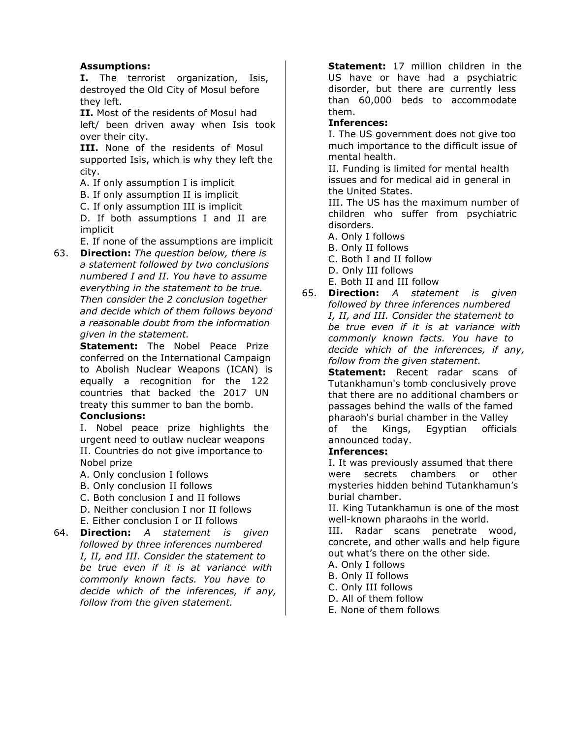# **Assumptions:**

**I.** The terrorist organization, Isis, destroyed the Old City of Mosul before they left.

**II.** Most of the residents of Mosul had left/ been driven away when Isis took over their city.

**III.** None of the residents of Mosul supported Isis, which is why they left the city.

A. If only assumption I is implicit

B. If only assumption II is implicit

C. If only assumption III is implicit

D. If both assumptions I and II are implicit

E. If none of the assumptions are implicit

63. **Direction:** *The question below, there is a statement followed by two conclusions numbered I and II. You have to assume everything in the statement to be true. Then consider the 2 conclusion together and decide which of them follows beyond a reasonable doubt from the information given in the statement.*

> **Statement:** The Nobel Peace Prize conferred on the International Campaign to Abolish Nuclear Weapons (ICAN) is equally a recognition for the 122 countries that backed the 2017 UN treaty this summer to ban the bomb.

# **Conclusions:**

I. Nobel peace prize highlights the urgent need to outlaw nuclear weapons II. Countries do not give importance to Nobel prize

- A. Only conclusion I follows
- B. Only conclusion II follows
- C. Both conclusion I and II follows
- D. Neither conclusion I nor II follows
- E. Either conclusion I or II follows
- 64. **Direction:** *A statement is given followed by three inferences numbered I, II, and III. Consider the statement to be true even if it is at variance with commonly known facts. You have to decide which of the inferences, if any, follow from the given statement.*

**Statement:** 17 million children in the US have or have had a psychiatric disorder, but there are currently less than 60,000 beds to accommodate them.

#### **Inferences:**

I. The US government does not give too much importance to the difficult issue of mental health.

II. Funding is limited for mental health issues and for medical aid in general in the United States.

III. The US has the maximum number of children who suffer from psychiatric disorders.

A. Only I follows

B. Only II follows

- C. Both I and II follow
- D. Only III follows
- E. Both II and III follow
- 65. **Direction:** *A statement is given followed by three inferences numbered I, II, and III. Consider the statement to be true even if it is at variance with commonly known facts. You have to decide which of the inferences, if any, follow from the given statement.*

**Statement:** Recent radar scans of Tutankhamun's tomb conclusively prove that there are no additional chambers or passages behind the walls of the famed pharaoh's burial chamber in the Valley of the Kings, Egyptian officials announced today.

#### **Inferences:**

I. It was previously assumed that there were secrets chambers or other mysteries hidden behind Tutankhamun's burial chamber.

II. King Tutankhamun is one of the most well-known pharaohs in the world.

III. Radar scans penetrate wood, concrete, and other walls and help figure out what's there on the other side.

- A. Only I follows
- B. Only II follows
- C. Only III follows
- D. All of them follow
- E. None of them follows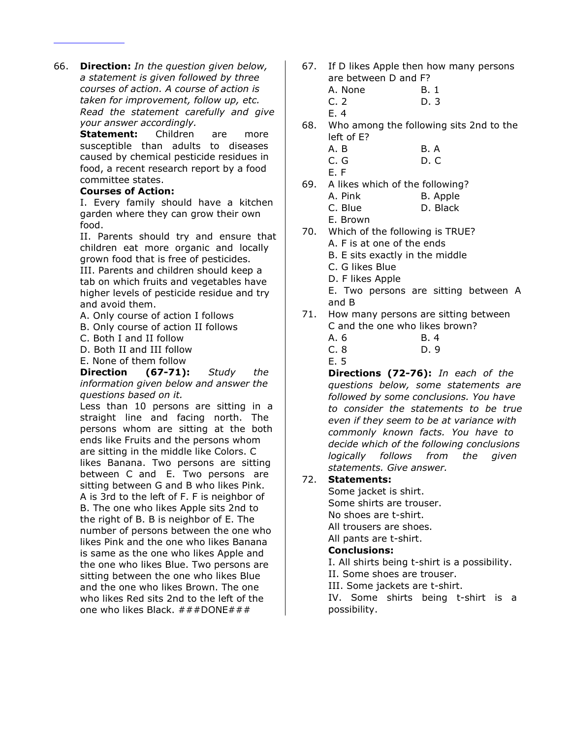66. **Direction:** *In the question given below, a statement is given followed by three courses of action. A course of action is taken for improvement, follow up, etc. Read the statement carefully and give your answer accordingly.*

> **Statement:** Children are more susceptible than adults to diseases caused by chemical pesticide residues in food, a recent research report by a food committee states.

#### **Courses of Action:**

I. Every family should have a kitchen garden where they can grow their own food.

II. Parents should try and ensure that children eat more organic and locally grown food that is free of pesticides. III. Parents and children should keep a tab on which fruits and vegetables have higher levels of pesticide residue and try and avoid them.

- A. Only course of action I follows
- B. Only course of action II follows
- C. Both I and II follow

D. Both II and III follow

E. None of them follow

**Direction (67-71):** *Study the information given below and answer the questions based on it.*

Less than 10 persons are sitting in a straight line and facing north. The persons whom are sitting at the both ends like Fruits and the persons whom are sitting in the middle like Colors. C likes Banana. Two persons are sitting between C and E. Two persons are sitting between G and B who likes Pink. A is 3rd to the left of F. F is neighbor of B. The one who likes Apple sits 2nd to the right of B. B is neighbor of E. The number of persons between the one who likes Pink and the one who likes Banana is same as the one who likes Apple and the one who likes Blue. Two persons are sitting between the one who likes Blue and the one who likes Brown. The one who likes Red sits 2nd to the left of the one who likes Black. ###DONE###

- 67. If D likes Apple then how many persons are between D and F?
	- A. None B. 1 C. 2 D. 3
	- E. 4
- 68. Who among the following sits 2nd to the left of E?
	- A. B B. A
	- C. G D. C
	- E. F
- 69. A likes which of the following?
	- A. Pink B. Apple
	- C. Blue D. Black
	- E. Brown
- 70. Which of the following is TRUE?
	- A. F is at one of the ends
	- B. E sits exactly in the middle
	- C. G likes Blue
	- D. F likes Apple
	- E. Two persons are sitting between A and B
- 71. How many persons are sitting between C and the one who likes brown?
	- A. 6 B. 4
	- C. 8 D. 9
	- E. 5

**Directions (72-76):** *In each of the questions below, some statements are followed by some conclusions. You have to consider the statements to be true even if they seem to be at variance with commonly known facts. You have to decide which of the following conclusions logically follows from the given statements. Give answer.*

#### 72. **Statements:**

Some jacket is shirt. Some shirts are trouser. No shoes are t-shirt. All trousers are shoes. All pants are t-shirt.

# **Conclusions:**

I. All shirts being t-shirt is a possibility. II. Some shoes are trouser. III. Some jackets are t-shirt. IV. Some shirts being t-shirt is a possibility.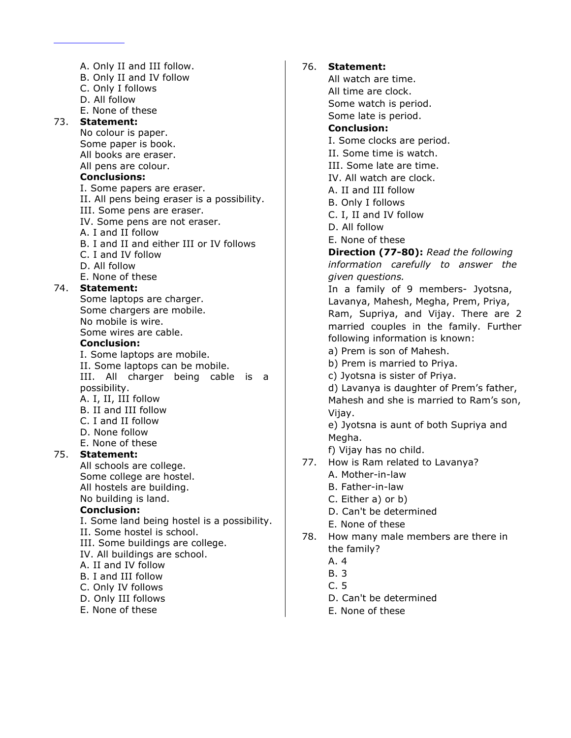A. Only II and III follow. B. Only II and IV follow C. Only I follows D. All follow E. None of these 73. **Statement:** No colour is paper. Some paper is book. All books are eraser. All pens are colour. **Conclusions:** I. Some papers are eraser. II. All pens being eraser is a possibility. III. Some pens are eraser. IV. Some pens are not eraser. A. I and II follow B. I and II and either III or IV follows C. I and IV follow D. All follow E. None of these 74. **Statement:** Some laptops are charger. Some chargers are mobile. No mobile is wire. Some wires are cable. **Conclusion:** I. Some laptops are mobile. II. Some laptops can be mobile. III. All charger being cable is a possibility. A. I, II, III follow B. II and III follow C. I and II follow D. None follow E. None of these 75. **Statement:** All schools are college. Some college are hostel. All hostels are building. No building is land. **Conclusion:** I. Some land being hostel is a possibility. II. Some hostel is school. III. Some buildings are college. IV. All buildings are school. A. II and IV follow B. I and III follow C. Only IV follows D. Only III follows E. None of these

# 76. **Statement:**

All watch are time. All time are clock. Some watch is period. Some late is period. **Conclusion:** I. Some clocks are period. II. Some time is watch. III. Some late are time. IV. All watch are clock. A. II and III follow B. Only I follows C. I, II and IV follow D. All follow E. None of these **Direction (77-80):** *Read the following information carefully to answer the given questions.* In a family of 9 members- Jyotsna, Lavanya, Mahesh, Megha, Prem, Priya, Ram, Supriya, and Vijay. There are 2 married couples in the family. Further following information is known: a) Prem is son of Mahesh. b) Prem is married to Priya. c) Jyotsna is sister of Priya. d) Lavanya is daughter of Prem's father, Mahesh and she is married to Ram's son, Vijay. e) Jyotsna is aunt of both Supriya and Megha. f) Vijay has no child. 77. How is Ram related to Lavanya? A. Mother-in-law B. Father-in-law C. Either a) or b) D. Can't be determined E. None of these 78. How many male members are there in the family? A. 4 B. 3

- C. 5
- D. Can't be determined
- E. None of these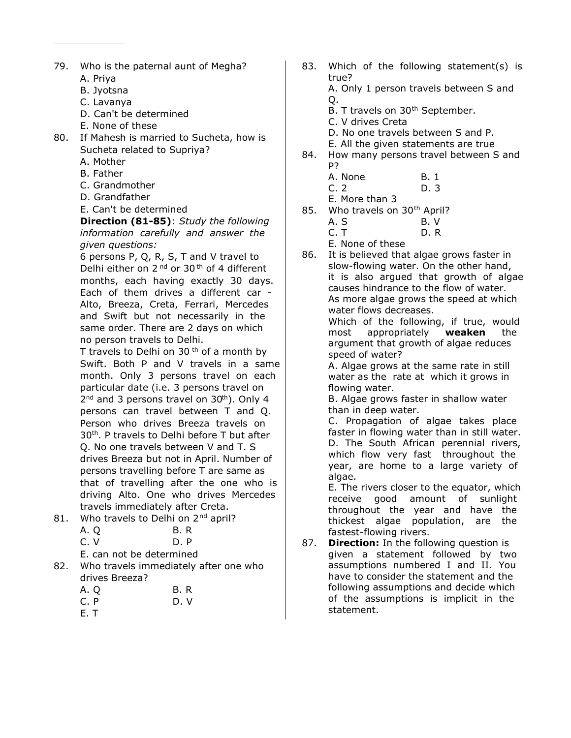- 79. Who is the paternal aunt of Megha? A. Priya
	- B. Jyotsna
	- C. Lavanya
	- D. Can't be determined
	- E. None of these
- 80. If Mahesh is married to Sucheta, how is Sucheta related to Supriya?
	- A. Mother
	- B. Father
	- C. Grandmother
	- D. Grandfather
	- E. Can't be determined

**Direction (81-85)**: *Study the following information carefully and answer the given questions:*

6 persons P, Q, R, S, T and V travel to Delhi either on  $2<sup>nd</sup>$  or  $30<sup>th</sup>$  of 4 different months, each having exactly 30 days. Each of them drives a different car - Alto, Breeza, Creta, Ferrari, Mercedes and Swift but not necessarily in the same order. There are 2 days on which no person travels to Delhi.

T travels to Delhi on 30<sup>th</sup> of a month by Swift. Both P and V travels in a same month. Only 3 persons travel on each particular date (i.e. 3 persons travel on 2<sup>nd</sup> and 3 persons travel on 30<sup>th</sup>). Only 4 persons can travel between T and Q. Person who drives Breeza travels on 30th. P travels to Delhi before T but after Q. No one travels between V and T. S drives Breeza but not in April. Number of persons travelling before T are same as that of travelling after the one who is driving Alto. One who drives Mercedes travels immediately after Creta.

81. Who travels to Delhi on 2<sup>nd</sup> april?  $A \cap B$ 

| ,,,  |  | --  |  |
|------|--|-----|--|
| C. V |  | D.P |  |
|      |  |     |  |

E. can not be determined

82. Who travels immediately after one who drives Breeza?

| A. Q | B. R |
|------|------|
| C. P | D.V  |
| E. T |      |

- 83. Which of the following statement(s) is true? A. Only 1 person travels between S and Q.
	- B. T travels on 30<sup>th</sup> September.
	- C. V drives Creta
	- D. No one travels between S and P.
	- E. All the given statements are true
- 84. How many persons travel between S and P?
	- A. None B. 1 C. 2 D. 3
	- E. More than 3
- 85. Who travels on 30<sup>th</sup> April? A. S B. V
	- C. T D. R
	- E. None of these
- 86. It is believed that algae grows faster in slow-flowing water. On the other hand, it is also argued that growth of algae causes hindrance to the flow of water. As more algae grows the speed at which water flows decreases.

Which of the following, if true, would most appropriately **weaken** the argument that growth of algae reduces speed of water?

A. Algae grows at the same rate in still water as the rate at which it grows in flowing water.

B. Algae grows faster in shallow water than in deep water.

C. Propagation of algae takes place faster in flowing water than in still water. D. The South African perennial rivers, which flow very fast throughout the year, are home to a large variety of algae.

E. The rivers closer to the equator, which receive good amount of sunlight throughout the year and have the thickest algae population, are the fastest-flowing rivers.

87. **Direction:** In the following question is given a statement followed by two assumptions numbered I and II. You have to consider the statement and the following assumptions and decide which of the assumptions is implicit in the statement.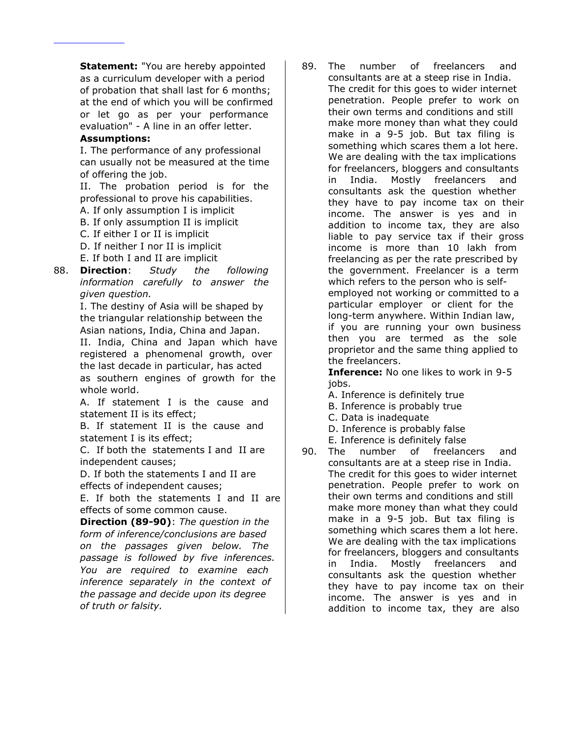**Statement:** "You are hereby appointed as a curriculum developer with a period of probation that shall last for 6 months; at the end of which you will be confirmed or let go as per your performance evaluation" - A line in an offer letter.

## **Assumptions:**

I. The performance of any professional can usually not be measured at the time of offering the job.

II. The probation period is for the professional to prove his capabilities.

A. If only assumption I is implicit

B. If only assumption II is implicit

C. If either I or II is implicit

D. If neither I nor II is implicit

E. If both I and II are implicit

88. **Direction**: *Study the following information carefully to answer the given question.*

I. The destiny of Asia will be shaped by the triangular relationship between the Asian nations, India, China and Japan.

II. India, China and Japan which have registered a phenomenal growth, over the last decade in particular, has acted as southern engines of growth for the whole world.

A. If statement I is the cause and statement II is its effect;

B. If statement II is the cause and statement I is its effect;

C. If both the statements I and II are independent causes;

D. If both the statements I and II are effects of independent causes;

E. If both the statements I and II are effects of some common cause.

**Direction (89-90)**: *The question in the form of inference/conclusions are based on the passages given below. The passage is followed by five inferences. You are required to examine each inference separately in the context of the passage and decide upon its degree of truth or falsity.*

89. The number of freelancers and consultants are at a steep rise in India. The credit for this goes to wider internet penetration. People prefer to work on their own terms and conditions and still make more money than what they could make in a 9-5 job. But tax filing is something which scares them a lot here. We are dealing with the tax implications for freelancers, bloggers and consultants in India. Mostly freelancers and consultants ask the question whether they have to pay income tax on their income. The answer is yes and in addition to income tax, they are also liable to pay service tax if their gross income is more than 10 lakh from freelancing as per the rate prescribed by the government. Freelancer is a term which refers to the person who is selfemployed not working or committed to a particular employer or client for the long-term anywhere. Within Indian law, if you are running your own business then you are termed as the sole proprietor and the same thing applied to the freelancers.

> **Inference:** No one likes to work in 9-5 jobs.

A. Inference is definitely true

B. Inference is probably true

C. Data is inadequate

D. Inference is probably false

E. Inference is definitely false

90. The number of freelancers and consultants are at a steep rise in India. The credit for this goes to wider internet penetration. People prefer to work on their own terms and conditions and still make more money than what they could make in a 9-5 job. But tax filing is something which scares them a lot here. We are dealing with the tax implications for freelancers, bloggers and consultants in India. Mostly freelancers and consultants ask the question whether they have to pay income tax on their income. The answer is yes and in addition to income tax, they are also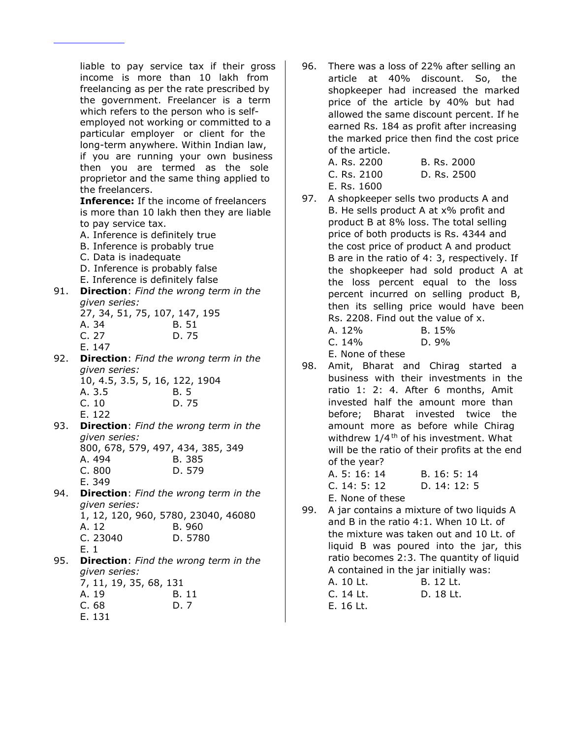liable to pay service tax if their gross income is more than 10 lakh from freelancing as per the rate prescribed by the government. Freelancer is a term which refers to the person who is selfemployed not working or committed to a particular employer or client for the long-term anywhere. Within Indian law, if you are running your own business then you are termed as the sole proprietor and the same thing applied to the freelancers. **Inference:** If the income of freelancers is more than 10 lakh then they are liable to pay service tax. A. Inference is definitely true B. Inference is probably true C. Data is inadequate D. Inference is probably false E. Inference is definitely false 91. **Direction**: *Find the wrong term in the given series:* 27, 34, 51, 75, 107, 147, 195 A. 34 B. 51 C. 27 D. 75 E. 147 92. **Direction**: *Find the wrong term in the given series:* 10, 4.5, 3.5, 5, 16, 122, 1904 A. 3.5 B. 5 C. 10 D. 75 E. 122 93. **Direction**: *Find the wrong term in the given series:* 800, 678, 579, 497, 434, 385, 349 A. 494 B. 385 C. 800 D. 579 E. 349 94. **Direction**: *Find the wrong term in the given series:* 1, 12, 120, 960, 5780, 23040, 46080 A. 12 B. 960 C. 23040 D. 5780 E. 1 95. **Direction**: *Find the wrong term in the given series:*

|        | 917-911 JUNUA |  |                        |  |
|--------|---------------|--|------------------------|--|
|        |               |  | 7, 11, 19, 35, 68, 131 |  |
| A. 19  |               |  | B. 11                  |  |
| C. 68  |               |  | D. 7                   |  |
| E. 131 |               |  |                        |  |

96. There was a loss of 22% after selling an article at 40% discount. So, the shopkeeper had increased the marked price of the article by 40% but had allowed the same discount percent. If he earned Rs. 184 as profit after increasing the marked price then find the cost price of the article.

| A. Rs. 2200 | B. Rs. 2000 |
|-------------|-------------|
| C. Rs. 2100 | D. Rs. 2500 |
| E. Rs. 1600 |             |

97. A shopkeeper sells two products A and B. He sells product A at x% profit and product B at 8% loss. The total selling price of both products is Rs. 4344 and the cost price of product A and product B are in the ratio of 4: 3, respectively. If the shopkeeper had sold product A at the loss percent equal to the loss percent incurred on selling product B, then its selling price would have been Rs. 2208. Find out the value of x. A. 12% B. 15%

| . <i>.</i> . |  | ----- |
|--------------|--|-------|
| C. 14%       |  | D. 9% |
|              |  |       |

E. None of these

98. Amit, Bharat and Chirag started a business with their investments in the ratio 1: 2: 4. After 6 months, Amit invested half the amount more than before; Bharat invested twice the amount more as before while Chirag withdrew  $1/4$ <sup>th</sup> of his investment. What will be the ratio of their profits at the end of the year?

| A. 5: 16: 14     | B. 16: 5: 14 |
|------------------|--------------|
| C. 14: 5: 12     | D. $14:12:5$ |
| E. None of these |              |

99. A jar contains a mixture of two liquids A and B in the ratio 4:1. When 10 Lt. of the mixture was taken out and 10 Lt. of liquid B was poured into the jar, this ratio becomes 2:3. The quantity of liquid A contained in the jar initially was: A. 10 Lt. B. 12 Lt.

| A. 10 LL. | <u>D. IZ LL.</u> |
|-----------|------------------|
| C. 14 Lt. | D. 18 Lt.        |
| E. 16 Lt. |                  |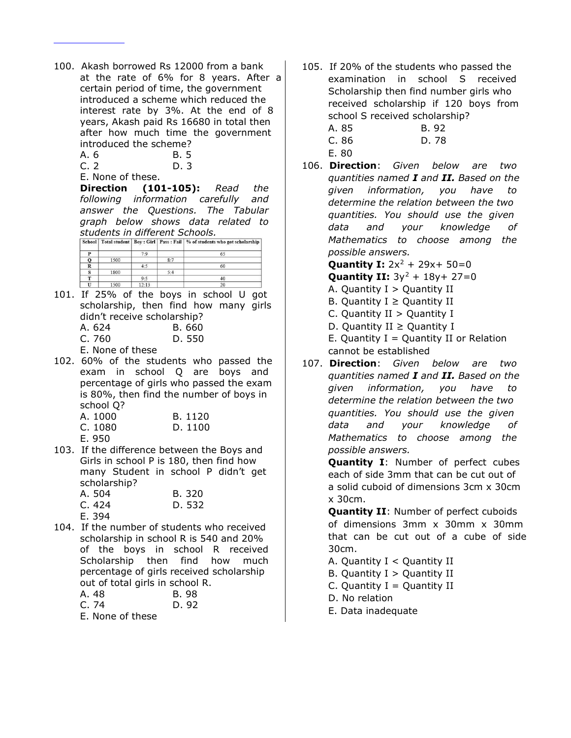100. Akash borrowed Rs 12000 from a bank at the rate of 6% for 8 years. After a certain period of time, the government introduced a scheme which reduced the interest rate by 3%. At the end of 8 years, Akash paid Rs 16680 in total then after how much time the government introduced the scheme?

| A. 6 | B. 5 |
|------|------|
| C.2  | D. 3 |

| E. None of these. |  |
|-------------------|--|

**Direction (101-105):** *Read the following information carefully and answer the Questions. The Tabular graph below shows data related to students in different Schools.*

|                         |      |       |     | School   Total student   Boy : Girl   Pass : Fail   % of students who got scholarship |
|-------------------------|------|-------|-----|---------------------------------------------------------------------------------------|
| P                       |      | 7.9   |     | 65                                                                                    |
| Q                       | 1500 |       | 8:7 |                                                                                       |
| $\overline{\mathbf{R}}$ |      | 4:5   |     | 60                                                                                    |
| s                       | 1800 |       | 5:4 |                                                                                       |
| т                       |      | 9:5   |     | 40                                                                                    |
| п                       | 1500 | 12:13 |     | 20                                                                                    |

101. If 25% of the boys in school U got scholarship, then find how many girls didn't receive scholarship?

| A. 624 | B. 660 |
|--------|--------|
| C. 760 | D. 550 |

E. None of these

102. 60% of the students who passed the exam in school Q are boys and percentage of girls who passed the exam is 80%, then find the number of boys in school Q?

| A. 1000 | B. 1120 |
|---------|---------|
| C. 1080 | D. 1100 |
| E. 950  |         |

103. If the difference between the Boys and Girls in school P is 180, then find how many Student in school P didn't get scholarship?

| A. 504 | B. 320 |
|--------|--------|
| C. 424 | D. 532 |
| E. 394 |        |

104. If the number of students who received scholarship in school R is 540 and 20% of the boys in school R received Scholarship then find how much percentage of girls received scholarship out of total girls in school R.  $A \quad AB$  B  $\Omega$ 

| A. 70 | D. 70 |
|-------|-------|
| C. 74 | D. 92 |

E. None of these

105. If 20% of the students who passed the examination in school S received Scholarship then find number girls who received scholarship if 120 boys from school S received scholarship?

| A. 85 | B. 92 |
|-------|-------|
| C. 86 | D. 78 |
| E. 80 |       |

106. **Direction**: *Given below are two quantities named I and II. Based on the given information, you have to determine the relation between the two quantities. You should use the given data and your knowledge of Mathematics to choose among the possible answers.*

**Quantity I:**  $2x^2 + 29x + 50 = 0$ 

**Quantity II:**  $3y^2 + 18y + 27 = 0$ 

- A. Quantity  $I >$  Quantity II
- B. Quantity  $I \ge$  Quantity II
- C. Quantity II > Quantity I
- D. Quantity II  $\geq$  Quantity I

E. Quantity  $I =$  Quantity II or Relation cannot be established

107. **Direction**: *Given below are two quantities named I and II. Based on the given information, you have to determine the relation between the two quantities. You should use the given data and your knowledge of Mathematics to choose among the possible answers.*

> **Quantity I**: Number of perfect cubes each of side 3mm that can be cut out of a solid cuboid of dimensions 3cm x 30cm x 30cm.

**Quantity II**: Number of perfect cuboids of dimensions 3mm x 30mm x 30mm that can be cut out of a cube of side 30cm.

- A. Quantity I < Quantity II
- B. Quantity  $I >$  Quantity II
- C. Quantity  $I =$  Quantity II
- D. No relation
- E. Data inadequate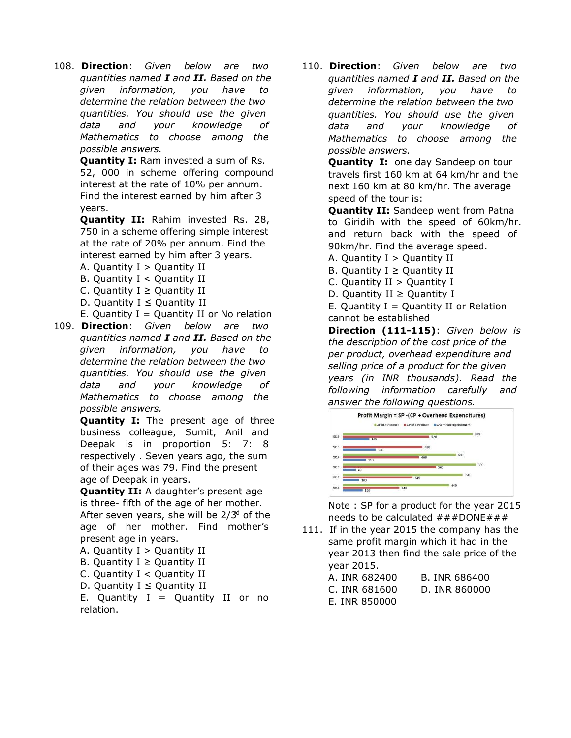108. **Direction**: *Given below are two quantities named I and II. Based on the given information, you have to determine the relation between the two quantities. You should use the given data and your knowledge of Mathematics to choose among the possible answers.*

> **Quantity I:** Ram invested a sum of Rs. 52, 000 in scheme offering compound interest at the rate of 10% per annum. Find the interest earned by him after 3 years.

**Quantity II:** Rahim invested Rs. 28, 750 in a scheme offering simple interest at the rate of 20% per annum. Find the interest earned by him after 3 years.

- A. Quantity  $I >$  Quantity II
- B. Quantity I < Quantity II
- C. Quantity  $I \geq$  Quantity II
- D. Quantity  $I \le$  Quantity II
- E. Quantity  $I =$  Quantity II or No relation
- 109. **Direction**: *Given below are two quantities named I and II. Based on the given information, you have to determine the relation between the two quantities. You should use the given data and your knowledge of Mathematics to choose among the possible answers.*

**Quantity I:** The present age of three business colleague, Sumit, Anil and Deepak is in proportion 5: 7: 8 respectively . Seven years ago, the sum of their ages was 79. Find the present age of Deepak in years.

**Quantity II:** A daughter's present age is three- fifth of the age of her mother. After seven years, she will be  $2/3<sup>d</sup>$  of the age of her mother. Find mother's present age in years.

- A. Quantity I > Quantity II
- B. Quantity  $I \geq$  Quantity II
- C. Quantity I < Quantity II
- D. Quantity  $I \le$  Quantity II

E. Quantity  $I =$  Quantity II or no relation.

110. **Direction**: *Given below are two quantities named I and II. Based on the given information, you have to determine the relation between the two quantities. You should use the given data and your knowledge of Mathematics to choose among the possible answers.*

> **Quantity I:** one day Sandeep on tour travels first 160 km at 64 km/hr and the next 160 km at 80 km/hr. The average speed of the tour is:

**Quantity II:** Sandeep went from Patna to Giridih with the speed of 60km/hr. and return back with the speed of 90km/hr. Find the average speed.

A. Quantity I > Quantity II

B. Quantity  $I \ge$  Quantity II

C. Quantity  $II >$  Quantity I D. Quantity II  $\geq$  Quantity I

E. Quantity  $I =$  Quantity II or Relation

cannot be established **Direction (111-115)**: *Given below is the description of the cost price of the per product, overhead expenditure and selling price of a product for the given years (in INR thousands). Read the following information carefully and answer the following questions.*



Note : SP for a product for the year 2015 needs to be calculated  $\# \# \#$  DONE $\# \# \#$ 

111. If in the year 2015 the company has the same profit margin which it had in the year 2013 then find the sale price of the year 2015.

| A. INR 682400 | B. INR 686400 |
|---------------|---------------|
| C. INR 681600 | D. INR 860000 |
| E. INR 850000 |               |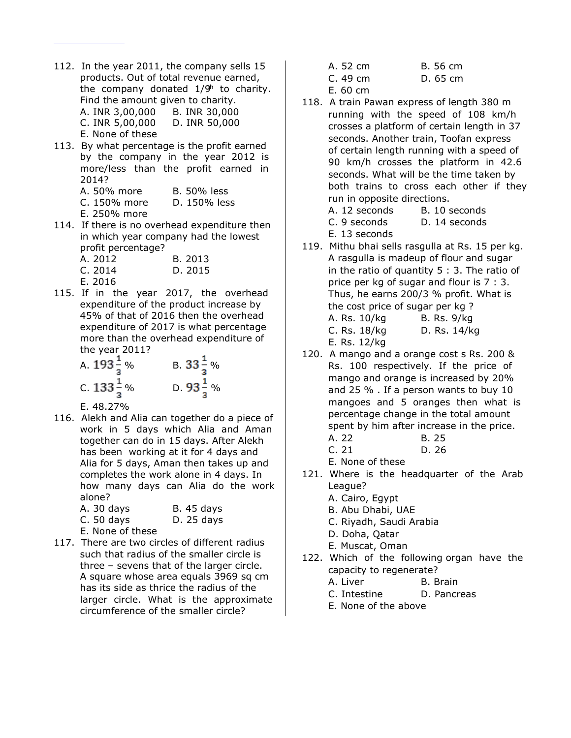- 112. In the year 2011, the company sells 15 products. Out of total revenue earned, the company donated 1/9<sup>th</sup> to charity. Find the amount given to charity. A. INR 3,00,000 B. INR 30,000 C. INR 5,00,000 D. INR 50,000 E. None of these
- 113. By what percentage is the profit earned by the company in the year 2012 is more/less than the profit earned in 2014? A. 50% more B. 50% less
	- C. 150% more D. 150% less
	- E. 250% more
- 114. If there is no overhead expenditure then in which year company had the lowest profit percentage?

| A. 2012 | B. 2013 |
|---------|---------|
| C. 2014 | D. 2015 |
| E. 2016 |         |

115. If in the year 2017, the overhead expenditure of the product increase by 45% of that of 2016 then the overhead expenditure of 2017 is what percentage more than the overhead expenditure of the year 2011?

A. 
$$
193\frac{1}{3}\%
$$
 B.  $33\frac{1}{3}\%$   
\nC.  $133\frac{1}{3}\%$  D.  $93\frac{1}{3}\%$ 

E. 48.27%

116. Alekh and Alia can together do a piece of work in 5 days which Alia and Aman together can do in 15 days. After Alekh has been working at it for 4 days and Alia for 5 days, Aman then takes up and completes the work alone in 4 days. In how many days can Alia do the work alone?

| A. 30 days | <b>B.</b> 45 days |
|------------|-------------------|
| C. 50 days | D. 25 days        |

- E. None of these
- 117. There are two circles of different radius such that radius of the smaller circle is three – sevens that of the larger circle. A square whose area equals 3969 sq cm has its side as thrice the radius of the larger circle. What is the approximate circumference of the smaller circle?

| A. 52 cm | B. 56 cm |
|----------|----------|
|          |          |

- C. 49 cm D. 65 cm
- E. 60 cm
- 118. A train Pawan express of length 380 m running with the speed of 108 km/h crosses a platform of certain length in 37 seconds. Another train, Toofan express of certain length running with a speed of 90 km/h crosses the platform in 42.6 seconds. What will be the time taken by both trains to cross each other if they run in opposite directions.

| A. 12 seconds | B. 10 seconds |
|---------------|---------------|
| C. 9 seconds  | D. 14 seconds |

- E. 13 seconds
- 119. Mithu bhai sells rasgulla at Rs. 15 per kg. A rasgulla is madeup of flour and sugar in the ratio of quantity 5 : 3. The ratio of price per kg of sugar and flour is 7 : 3. Thus, he earns 200/3 % profit. What is the cost price of sugar per kg ? A. Rs. 10/kg B. Rs. 9/kg C. Rs. 18/kg D. Rs. 14/kg
	- E. Rs. 12/kg
- 120. A mango and a orange cost s Rs. 200 & Rs. 100 respectively. If the price of mango and orange is increased by 20% and 25 % . If a person wants to buy 10 mangoes and 5 oranges then what is percentage change in the total amount spent by him after increase in the price.

A. 22 B. 25 C. 21 D. 26

E. None of these

- 121. Where is the headquarter of the Arab League?
	- A. Cairo, Egypt
	- B. Abu Dhabi, UAE
	- C. Riyadh, Saudi Arabia
	- D. Doha, Qatar
	- E. Muscat, Oman
- 122. Which of the following organ have the capacity to regenerate?
	- A. Liver B. Brain
	- C. Intestine D. Pancreas
		- E. None of the above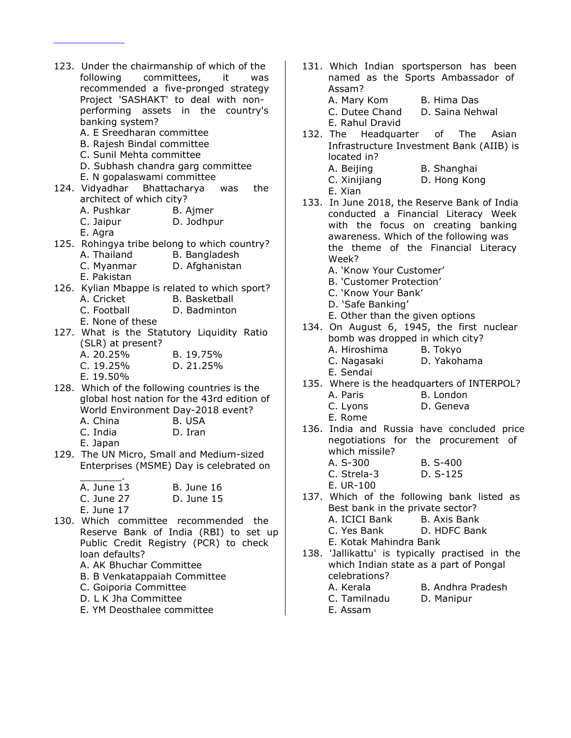- 123. Under the chairmanship of which of the following committees, it was recommended a five-pronged strategy Project 'SASHAKT' to deal with nonperforming assets in the country's banking system? A. E Sreedharan committee B. Rajesh Bindal committee C. Sunil Mehta committee D. Subhash chandra garg committee E. N gopalaswami committee 124. Vidyadhar Bhattacharya was the architect of which city? A. Pushkar B. Ajmer C. Jaipur D. Jodhpur E. Agra 125. Rohingya tribe belong to which country? A. Thailand B. Bangladesh C. Myanmar D. Afghanistan E. Pakistan 126. Kylian Mbappe is related to which sport? A. Cricket B. Basketball C. Football D. Badminton E. None of these 127. What is the Statutory Liquidity Ratio (SLR) at present? A. 20.25% B. 19.75% C. 19.25% D. 21.25% E. 19.50% 128. Which of the following countries is the global host nation for the 43rd edition of World Environment Day-2018 event? A. China B. USA C. India D. Iran E. Japan 129. The UN Micro, Small and Medium-sized Enterprises (MSME) Day is celebrated on  $\mathcal{L}=\mathcal{L}$ A. June 13 B. June 16 C. June 27 D. June 15 E. June 17 130. Which committee recommended the Reserve Bank of India (RBI) to set up Public Credit Registry (PCR) to check loan defaults? A. AK Bhuchar Committee B. B Venkatappaiah Committee C. Goiporia Committee D. L K Jha Committee
	- E. YM Deosthalee committee
- 131. Which Indian sportsperson has been named as the Sports Ambassador of Assam? A. Mary Kom B. Hima Das C. Dutee Chand D. Saina Nehwal
- E. Rahul Dravid 132. The Headquarter of The Asian Infrastructure Investment Bank (AIIB) is located in?
	- A. Beijing B. Shanghai C. Xinijiang D. Hong Kong E. Xian
- 133. In June 2018, the Reserve Bank of India conducted a Financial Literacy Week with the focus on creating banking awareness. Which of the following was the theme of the Financial Literacy Week?
	- A. 'Know Your Customer'
	- B. 'Customer Protection'
	- C. 'Know Your Bank'
	- D. 'Safe Banking'
	- E. Other than the given options
- 134. On August 6, 1945, the first nuclear bomb was dropped in which city? A. Hiroshima B. Tokyo C. Nagasaki D. Yakohama
	- E. Sendai
- 135. Where is the headquarters of INTERPOL? A. Paris B. London
	- C. Lyons D. Geneva
	- E. Rome
- 136. India and Russia have concluded price negotiations for the procurement of which missile?
	- A. S-300 B. S-400 C. Strela-3 D. S-125
	- E. UR-100
- 137. Which of the following bank listed as Best bank in the private sector? A. ICICI Bank B. Axis Bank
	- C. Yes Bank D. HDFC Bank
	-
	- E. Kotak Mahindra Bank
- 138. 'Jallikattu' is typically practised in the which Indian state as a part of Pongal celebrations?
	-
	- C. Tamilnadu D. Manipur
	- E. Assam
	- A. Kerala B. Andhra Pradesh
		-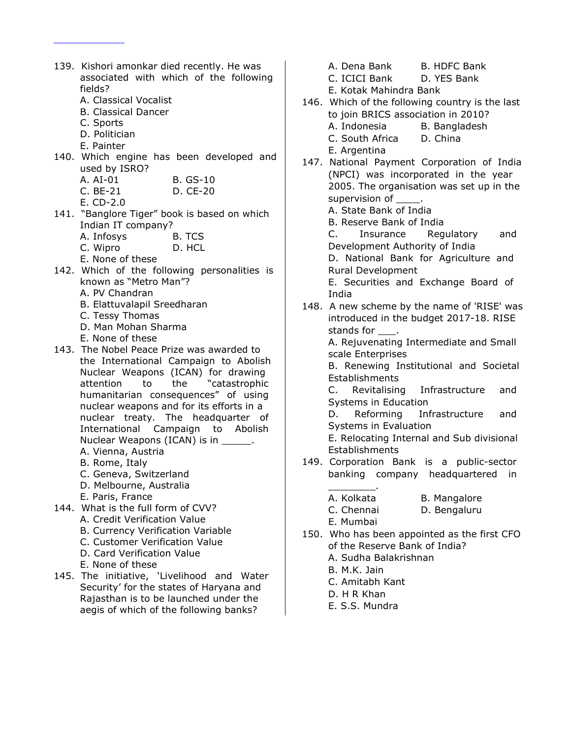- 139. Kishori amonkar died recently. He was associated with which of the following fields?
	- A. Classical Vocalist
	- B. Classical Dancer
	- C. Sports
	- D. Politician
	- E. Painter
- 140. Which engine has been developed and used by ISRO?
	- A. AI-01 B. GS-10
	- C. BE-21 D. CE-20
	- E. CD-2.0
- 141. "Banglore Tiger" book is based on which Indian IT company?
	- A. Infosys B. TCS
	- C. Wipro D. HCL
	- E. None of these
- 142. Which of the following personalities is known as "Metro Man"?
	- A. PV Chandran
	- B. Elattuvalapil Sreedharan
	- C. Tessy Thomas
	- D. Man Mohan Sharma
	- E. None of these
- 143. The Nobel Peace Prize was awarded to the International Campaign to Abolish Nuclear Weapons (ICAN) for drawing attention to the "catastrophic humanitarian consequences" of using nuclear weapons and for its efforts in a nuclear treaty. The headquarter of International Campaign to Abolish Nuclear Weapons (ICAN) is in \_\_\_\_\_\_.
	- A. Vienna, Austria
	- B. Rome, Italy
	- C. Geneva, Switzerland
	- D. Melbourne, Australia
	- E. Paris, France
- 144. What is the full form of CVV?
	- A. Credit Verification Value
	- B. Currency Verification Variable
	- C. Customer Verification Value
	- D. Card Verification Value
	- E. None of these
- 145. The initiative, 'Livelihood and Water Security' for the states of Haryana and Rajasthan is to be launched under the aegis of which of the following banks?
- A. Dena Bank B. HDFC Bank
- C. ICICI Bank D. YES Bank
- E. Kotak Mahindra Bank
- 146. Which of the following country is the last to join BRICS association in 2010? A. Indonesia B. Bangladesh
	- C. South Africa D. China
	- E. Argentina
- 147. National Payment Corporation of India (NPCI) was incorporated in the year 2005. The organisation was set up in the supervision of \_
	- A. State Bank of India
	- B. Reserve Bank of India
	- C. Insurance Regulatory and Development Authority of India
	- D. National Bank for Agriculture and Rural Development
	- E. Securities and Exchange Board of India
- 148. A new scheme by the name of 'RISE' was introduced in the budget 2017-18. RISE stands for \_\_\_.

A. Rejuvenating Intermediate and Small scale Enterprises

B. Renewing Institutional and Societal **Establishments** 

C. Revitalising Infrastructure and Systems in Education

D. Reforming Infrastructure and Systems in Evaluation

E. Relocating Internal and Sub divisional **Establishments** 

- 149. Corporation Bank is a public-sector banking company headquartered in
	- $\overline{\phantom{a}}$  . The set of  $\overline{\phantom{a}}$ A. Kolkata B. Mangalore
	- C. Chennai D. Bengaluru

E. Mumbai

- 150. Who has been appointed as the first CFO of the Reserve Bank of India?
	- A. Sudha Balakrishnan
	- B. M.K. Jain
	- C. Amitabh Kant
	- D. H R Khan
	- E. S.S. Mundra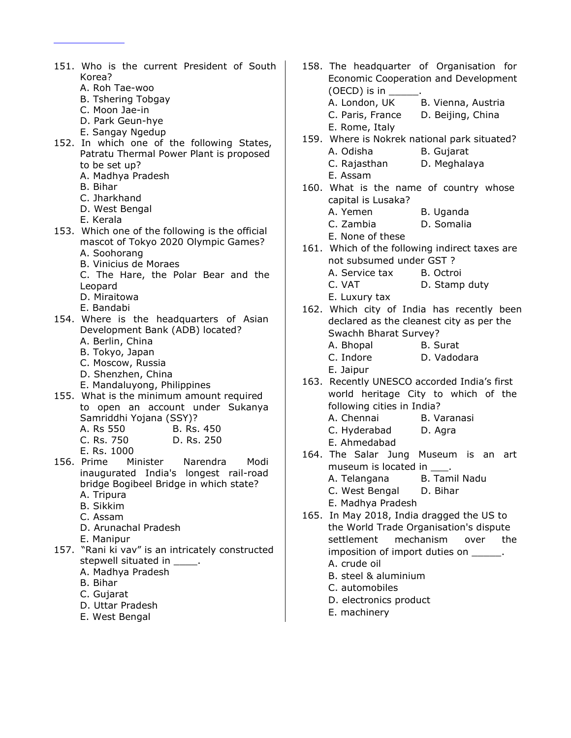- 151. Who is the current President of South Korea? A. Roh Tae-woo
	- B. Tshering Tobgay
	- C. Moon Jae-in
	- D. Park Geun-hye
	- E. Sangay Ngedup
- 152. In which one of the following States, Patratu Thermal Power Plant is proposed to be set up?
	- A. Madhya Pradesh
	- B. Bihar
	- C. Jharkhand
	- D. West Bengal
	- E. Kerala
- 153. Which one of the following is the official mascot of Tokyo 2020 Olympic Games?
	- A. Soohorang
	- B. Vinicius de Moraes
	- C. The Hare, the Polar Bear and the Leopard
	- D. Miraitowa
	- E. Bandabi
- 154. Where is the headquarters of Asian Development Bank (ADB) located?
	- A. Berlin, China
	- B. Tokyo, Japan
	- C. Moscow, Russia
	- D. Shenzhen, China
	- E. Mandaluyong, Philippines
- 155. What is the minimum amount required to open an account under Sukanya Samriddhi Yojana (SSY)?
	- A. Rs 550 B. Rs. 450
	- C. Rs. 750 D. Rs. 250
	- E. Rs. 1000
- 156. Prime Minister Narendra Modi inaugurated India's longest rail-road bridge Bogibeel Bridge in which state?
	- A. Tripura
	- B. Sikkim
	- C. Assam
	- D. Arunachal Pradesh
	- E. Manipur
- 157. "Rani ki vav" is an intricately constructed stepwell situated in \_\_\_\_\_.
	- A. Madhya Pradesh
	- B. Bihar
	- C. Gujarat
	- D. Uttar Pradesh
	- E. West Bengal
- 158. The headquarter of Organisation for Economic Cooperation and Development (OECD) is in  $\overline{\phantom{a}}$ A. London, UK B. Vienna, Austria C. Paris, France D. Beijing, China E. Rome, Italy 159. Where is Nokrek national park situated? A. Odisha B. Gujarat C. Rajasthan D. Meghalaya E. Assam 160. What is the name of country whose capital is Lusaka? A. Yemen B. Uganda C. Zambia D. Somalia E. None of these 161. Which of the following indirect taxes are not subsumed under GST ? A. Service tax B. Octroi C. VAT D. Stamp duty E. Luxury tax 162. Which city of India has recently been declared as the cleanest city as per the Swachh Bharat Survey? A. Bhopal B. Surat C. Indore D. Vadodara E. Jaipur 163. Recently UNESCO accorded India's first world heritage City to which of the following cities in India? A. Chennai B. Varanasi C. Hyderabad D. Agra E. Ahmedabad 164. The Salar Jung Museum is an art museum is located in \_\_\_\_. A. Telangana B. Tamil Nadu C. West Bengal D. Bihar E. Madhya Pradesh 165. In May 2018, India dragged the US to
- the World Trade Organisation's dispute settlement mechanism over the imposition of import duties on \_\_\_\_\_. A. crude oil
	- B. steel & aluminium
	- C. automobiles
	- D. electronics product
	- E. machinery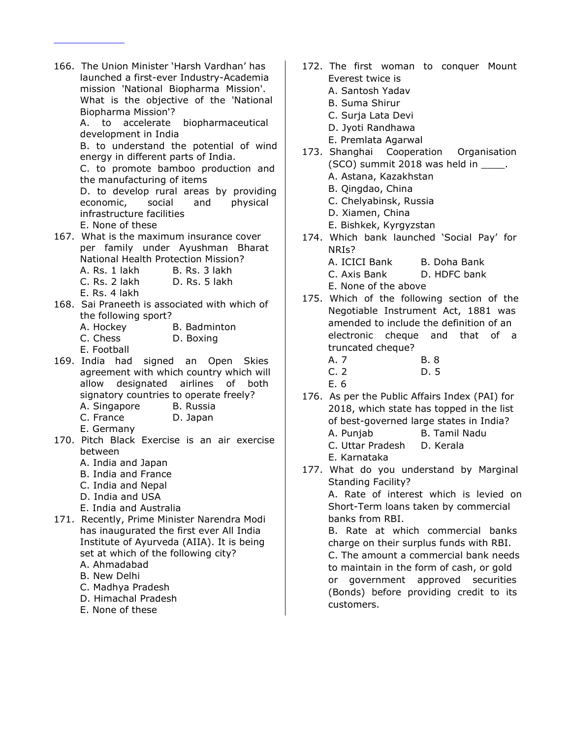- 166. The Union Minister 'Harsh Vardhan' has launched a first-ever Industry-Academia mission 'National Biopharma Mission'. What is the objective of the 'National Biopharma Mission'? A. to accelerate biopharmaceutical development in India B. to understand the potential of wind energy in different parts of India. C. to promote bamboo production and the manufacturing of items D. to develop rural areas by providing economic, social and physical infrastructure facilities E. None of these 167. What is the maximum insurance cover per family under Ayushman Bharat National Health Protection Mission? A. Rs. 1 lakh B. Rs. 3 lakh C. Rs. 2 lakh D. Rs. 5 lakh E. Rs. 4 lakh 168. Sai Praneeth is associated with which of the following sport? A. Hockey B. Badminton C. Chess D. Boxing E. Football 169. India had signed an Open Skies agreement with which country which will allow designated airlines of both signatory countries to operate freely? A. Singapore B. Russia C. France D. Japan E. Germany 170. Pitch Black Exercise is an air exercise between A. India and Japan B. India and France C. India and Nepal D. India and USA E. India and Australia 171. Recently, Prime Minister Narendra Modi has inaugurated the first ever All India Institute of Ayurveda (AIIA). It is being set at which of the following city? A. Ahmadabad B. New Delhi
	- C. Madhya Pradesh
	- D. Himachal Pradesh
	- E. None of these
- 172. The first woman to conquer Mount Everest twice is A. Santosh Yadav B. Suma Shirur
	- C. Surja Lata Devi
	- D. Jyoti Randhawa
	- E. Premlata Agarwal
- 173. Shanghai Cooperation Organisation (SCO) summit 2018 was held in \_\_\_\_.
	- A. Astana, Kazakhstan
	- B. Qingdao, China
	- C. Chelyabinsk, Russia
	- D. Xiamen, China
	- E. Bishkek, Kyrgyzstan
- 174. Which bank launched 'Social Pay' for NRIs?
	- A. ICICI Bank B. Doha Bank
	- C. Axis Bank D. HDFC bank
	- E. None of the above
- 175. Which of the following section of the Negotiable Instrument Act, 1881 was amended to include the definition of an electronic cheque and that of a truncated cheque?
	- A. 7 B. 8 C. 2 D. 5
	- E. 6
- 176. As per the Public Affairs Index (PAI) for 2018, which state has topped in the list of best-governed large states in India?
	- A. Punjab B. Tamil Nadu
	- C. Uttar Pradesh D. Kerala
	- E. Karnataka
- 177. What do you understand by Marginal Standing Facility?

A. Rate of interest which is levied on Short-Term loans taken by commercial banks from RBI.

B. Rate at which commercial banks charge on their surplus funds with RBI. C. The amount a commercial bank needs to maintain in the form of cash, or gold or government approved securities (Bonds) before providing credit to its customers.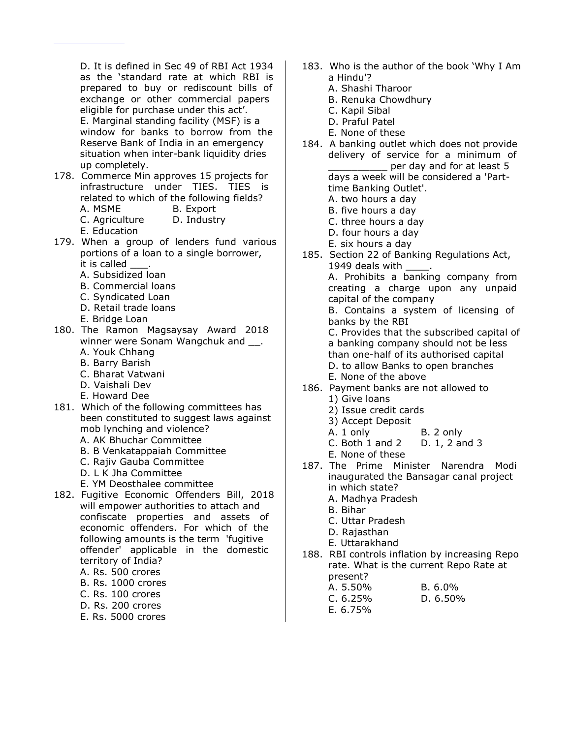D. It is defined in Sec 49 of RBI Act 1934 as the 'standard rate at which RBI is prepared to buy or rediscount bills of exchange or other commercial papers eligible for purchase under this act'. E. Marginal standing facility (MSF) is a window for banks to borrow from the Reserve Bank of India in an emergency situation when inter-bank liquidity dries up completely.

- 178. Commerce Min approves 15 projects for infrastructure under TIES. TIES is related to which of the following fields? A. MSME B. Export
	- C. Agriculture D. Industry
	- E. Education
- 179. When a group of lenders fund various portions of a loan to a single borrower, it is called
	- A. Subsidized loan
	- B. Commercial loans
	- C. Syndicated Loan
	- D. Retail trade loans
	- E. Bridge Loan
- 180. The Ramon Magsaysay Award 2018 winner were Sonam Wangchuk and .
	- A. Youk Chhang
	- B. Barry Barish
	- C. Bharat Vatwani
	- D. Vaishali Dev
	- E. Howard Dee
- 181. Which of the following committees has been constituted to suggest laws against mob lynching and violence? A. AK Bhuchar Committee
	- B. B Venkatappaiah Committee
	- C. Rajiv Gauba Committee
	- D. L K Jha Committee
	- E. YM Deosthalee committee
- 182. Fugitive Economic Offenders Bill, 2018 will empower authorities to attach and confiscate properties and assets of economic offenders. For which of the following amounts is the term 'fugitive offender' applicable in the domestic territory of India? A. Rs. 500 crores
	- B. Rs. 1000 crores
	- C. Rs. 100 crores
	- D. Rs. 200 crores
	- E. Rs. 5000 crores
- 183. Who is the author of the book 'Why I Am a Hindu'?
	- A. Shashi Tharoor
	- B. Renuka Chowdhury
	- C. Kapil Sibal
	- D. Praful Patel
	- E. None of these
- 184. A banking outlet which does not provide delivery of service for a minimum of per day and for at least 5 days a week will be considered a 'Parttime Banking Outlet'.
	- A. two hours a day
	- B. five hours a day
	- C. three hours a day
	- D. four hours a day
	- E. six hours a day
- 185. Section 22 of Banking Regulations Act, 1949 deals with A. Prohibits a banking company from creating a charge upon any unpaid

capital of the company

B. Contains a system of licensing of banks by the RBI

C. Provides that the subscribed capital of a banking company should not be less than one-half of its authorised capital D. to allow Banks to open branches E. None of the above

- 186. Payment banks are not allowed to
	- 1) Give loans
	- 2) Issue credit cards
	- 3) Accept Deposit
	- A. 1 only B. 2 only
	- C. Both 1 and 2 D. 1, 2 and 3
	- E. None of these
- 187. The Prime Minister Narendra Modi inaugurated the Bansagar canal project in which state?
	- A. Madhya Pradesh
	- B. Bihar
	- C. Uttar Pradesh
	- D. Rajasthan
	- E. Uttarakhand
- 188. RBI controls inflation by increasing Repo rate. What is the current Repo Rate at present?

| A. 5.50%   | $B. 6.0\%$  |
|------------|-------------|
| C.6.25%    | D. $6.50\%$ |
| E. $6.75%$ |             |